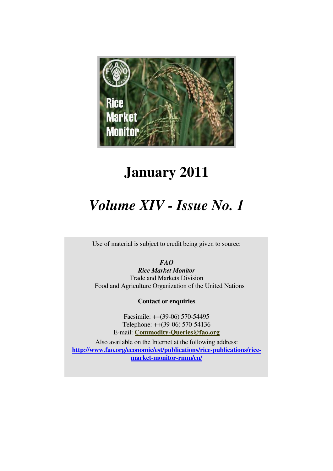

# **January 2011**

# *Volume XIV - Issue No. 1*

Use of material is subject to credit being given to source:

*FAO* 

*Rice Market Monitor*  Trade and Markets Division Food and Agriculture Organization of the United Nations

**Contact or enquiries**

Facsimile: ++(39-06) 570-54495 Telephone: ++(39-06) 570-54136 E-mail: **Commodity-Queries@fao.org**

Also available on the Internet at the following address: **http://www.fao.org/economic/est/publications/rice-publications/ricemarket-monitor-rmm/en/**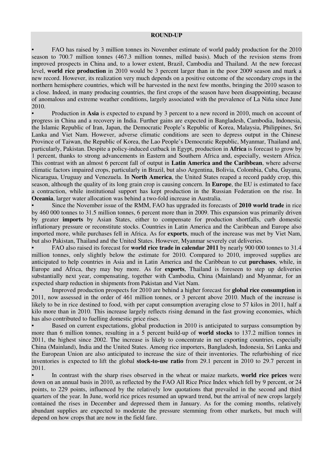#### **ROUND-UP**

• FAO has raised by 3 million tonnes its November estimate of world paddy production for the 2010 season to 700.7 million tonnes (467.3 million tonnes, milled basis). Much of the revision stems from improved prospects in China and, to a lower extent, Brazil, Cambodia and Thailand. At the new forecast level, **world rice production** in 2010 would be 3 percent larger than in the poor 2009 season and mark a new record. However, its realization very much depends on a positive outcome of the secondary crops in the northern hemisphere countries, which will be harvested in the next few months, bringing the 2010 season to a close. Indeed, in many producing countries, the first crops of the season have been disappointing, because of anomalous and extreme weather conditions, largely associated with the prevalence of La Niña since June 2010.

• Production in **Asia** is expected to expand by 3 percent to a new record in 2010, much on account of progress in China and a recovery in India. Further gains are expected in Bangladesh, Cambodia, Indonesia, the Islamic Republic of Iran, Japan, the Democratic People's Republic of Korea, Malaysia, Philippines, Sri Lanka and Viet Nam. However, adverse climatic conditions are seen to depress output in the Chinese Province of Taiwan, the Republic of Korea, the Lao People's Democratic Republic, Myanmar, Thailand and, particularly, Pakistan. Despite a policy-induced cutback in Egypt, production in **Africa** is forecast to grow by 1 percent, thanks to strong advancements in Eastern and Southern Africa and, especially, western Africa. This contrast with an almost 6 percent fall of output in **Latin America and the Caribbean**, where adverse climatic factors impaired crops, particularly in Brazil, but also Argentina, Bolivia, Colombia, Cuba, Guyana, Nicaragua, Uruguay and Venezuela. In **North America**, the United States reaped a record paddy crop, this season, although the quality of its long grain crop is causing concern. In **Europe**, the EU is estimated to face a contraction, while institutional support has kept production in the Russian Federation on the rise. In **Oceania**, larger water allocation was behind a two-fold increase in Australia.

• Since the November issue of the RMM, FAO has upgraded its forecasts of **2010 world trade** in rice by 460 000 tonnes to 31.5 million tonnes, 6 percent more than in 2009. This expansion was primarily driven by greater **imports** by Asian States, either to compensate for production shortfalls, curb domestic inflationary pressure or reconstitute stocks. Countries in Latin America and the Caribbean and Europe also imported more, while purchases fell in Africa. As for **exports**, much of the increase was met by Viet Nam, but also Pakistan, Thailand and the United States. However, Myanmar severely cut deliveries.

• FAO also raised its forecast for **world rice trade in calendar 2011** by nearly 900 000 tonnes to 31.4 million tonnes, only slightly below the estimate for 2010. Compared to 2010, improved supplies are anticipated to help countries in Asia and in Latin America and the Caribbean to cut **purchases**, while, in Europe and Africa, they may buy more. As for **exports**, Thailand is foreseen to step up deliveries substantially next year, compensating, together with Cambodia, China (Mainland) and Myanmar, for an expected sharp reduction in shipments from Pakistan and Viet Nam.

• Improved production prospects for 2010 are behind a higher forecast for **global rice consumption** in 2011, now assessed in the order of 461 million tonnes, or 3 percent above 2010. Much of the increase is likely to be in rice destined to food, with per caput consumption averaging close to 57 kilos in 2011, half a kilo more than in 2010. This increase largely reflects rising demand in the fast growing economies, which has also contributed to fuelling domestic price rises.

• Based on current expectations, global production in 2010 is anticipated to surpass consumption by more than 6 million tonnes, resulting in a 5 percent build-up of **world stocks** to 137.2 million tonnes in 2011, the highest since 2002. The increase is likely to concentrate in net exporting countries, especially China (Mainland), India and the United States. Among rice importers, Bangladesh, Indonesia, Sri Lanka and the European Union are also anticipated to increase the size of their inventories. The refurbishing of rice inventories is expected to lift the global **stock-to-use ratio** from 29.1 percent in 2010 to 29.7 percent in 2011.

• In contrast with the sharp rises observed in the wheat or maize markets, **world rice prices** were down on an annual basis in 2010, as reflected by the FAO All Rice Price Index which fell by 9 percent, or 24 points, to 229 points, influenced by the relatively low quotations that prevailed in the second and third quarters of the year. In June, world rice prices resumed an upward trend, but the arrival of new crops largely contained the rises in December and depressed them in January. As for the coming months, relatively abundant supplies are expected to moderate the pressure stemming from other markets, but much will depend on how crops that are now in the field fare.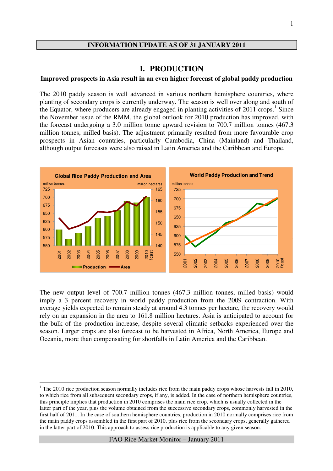#### **INFORMATION UPDATE AS OF 31 JANUARY 2011**

## **I. PRODUCTION**

#### **Improved prospects in Asia result in an even higher forecast of global paddy production**

The 2010 paddy season is well advanced in various northern hemisphere countries, where planting of secondary crops is currently underway. The season is well over along and south of the Equator, where producers are already engaged in planting activities of  $2011$  crops.<sup>1</sup> Since the November issue of the RMM, the global outlook for 2010 production has improved, with the forecast undergoing a 3.0 million tonne upward revision to 700.7 million tonnes (467.3 million tonnes, milled basis). The adjustment primarily resulted from more favourable crop prospects in Asian countries, particularly Cambodia, China (Mainland) and Thailand, although output forecasts were also raised in Latin America and the Caribbean and Europe.



The new output level of 700.7 million tonnes (467.3 million tonnes, milled basis) would imply a 3 percent recovery in world paddy production from the 2009 contraction. With average yields expected to remain steady at around 4.3 tonnes per hectare, the recovery would rely on an expansion in the area to 161.8 million hectares. Asia is anticipated to account for the bulk of the production increase, despite several climatic setbacks experienced over the season. Larger crops are also forecast to be harvested in Africa, North America, Europe and Oceania, more than compensating for shortfalls in Latin America and the Caribbean.

 $\overline{a}$ 

 $1$  The 2010 rice production season normally includes rice from the main paddy crops whose harvests fall in 2010, to which rice from all subsequent secondary crops, if any, is added. In the case of northern hemisphere countries, this principle implies that production in 2010 comprises the main rice crop, which is usually collected in the latter part of the year, plus the volume obtained from the successive secondary crops, commonly harvested in the first half of 2011. In the case of southern hemisphere countries, production in 2010 normally comprises rice from the main paddy crops assembled in the first part of 2010, plus rice from the secondary crops, generally gathered in the latter part of 2010. This approach to assess rice production is applicable to any given season.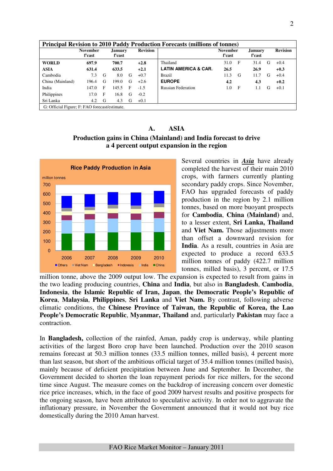|                                               |                           |   |                   |   |                 | <b>Principal Revision to 2010 Paddy Production Forecasts (millions of tonnes)</b> |                           |     |                          |   |                 |
|-----------------------------------------------|---------------------------|---|-------------------|---|-----------------|-----------------------------------------------------------------------------------|---------------------------|-----|--------------------------|---|-----------------|
|                                               | <b>November</b><br>f'cast |   | January<br>f'cast |   | <b>Revision</b> |                                                                                   | <b>November</b><br>f'cast |     | <b>January</b><br>f'cast |   | <b>Revision</b> |
| <b>WORLD</b>                                  | 697.9                     |   | 700.7             |   | $+2.8$          | Thailand                                                                          | 31.0                      | - F | 31.4                     | G | $+0.4$          |
| <b>ASIA</b>                                   | 631.4                     |   | 633.5             |   | $+2.1$          | <b>LATIN AMERICA &amp; CAR.</b>                                                   | 26.5                      |     | 26.9                     |   | $+0.3$          |
| Cambodia                                      | 7.3                       | G | 8.0               | G | $+0.7$          | <b>Brazil</b>                                                                     | 11.3                      | G   | 11.7                     | G | $+0.4$          |
| China (Mainland)                              | 196.4                     | G | 199.0             | G | $+2.6$          | <b>EUROPE</b>                                                                     | 4.2                       |     | 4.3                      |   | $+0.2$          |
| India                                         | 147.0                     | F | 145.5             | F | $-1.5$          | <b>Russian Federation</b>                                                         | 1.0                       | F   | 1.1                      | G | $+0.1$          |
| Philippines                                   | 17.0                      | F | 16.8              | G | $-0.2$          |                                                                                   |                           |     |                          |   |                 |
| Sri Lanka                                     | 4.2                       | G | 4.3               | G | $+0.1$          |                                                                                   |                           |     |                          |   |                 |
| G: Official Figure; F: FAO forecast/estimate. |                           |   |                   |   |                 |                                                                                   |                           |     |                          |   |                 |

**A. ASIA Production gains in China (Mainland) and India forecast to drive a 4 percent output expansion in the region** 



Several countries in *Asia* have already completed the harvest of their main 2010 crops, with farmers currently planting secondary paddy crops. Since November, FAO has upgraded forecasts of paddy production in the region by 2.1 million tonnes, based on more buoyant prospects for **Cambodia**, **China (Mainland)** and, to a lesser extent, **Sri Lanka, Thailand** and **Viet Nam.** Those adjustments more than offset a downward revision for **India**. As a result, countries in Asia are expected to produce a record 633.5 million tonnes of paddy (422.7 million tonnes, milled basis), 3 percent, or 17.5

million tonne, above the 2009 output low. The expansion is expected to result from gains in the two leading producing countries, **China** and **India**, but also in **Bangladesh**, **Cambodia**, **Indonesia**, **the Islamic Republic of Iran, Japan**, **the Democratic People's Republic of Korea**, **Malaysia**, **Philippines**, **Sri Lanka** and **Viet Nam.** By contrast, following adverse climatic conditions, the **Chinese Province of Taiwan, the Republic of Korea, the Lao People's Democratic Republic**, **Myanmar, Thailand** and, particularly **Pakistan** may face a contraction.

In **Bangladesh,** collection of the rainfed, Aman, paddy crop is underway, while planting activities of the largest Boro crop have been launched. Production over the 2010 season remains forecast at 50.3 million tonnes (33.5 million tonnes, milled basis), 4 percent more than last season, but short of the ambitious official target of 35.4 million tonnes (milled basis), mainly because of deficient precipitation between June and September. In December, the Government decided to shorten the loan repayment periods for rice millers, for the second time since August. The measure comes on the backdrop of increasing concern over domestic rice price increases, which, in the face of good 2009 harvest results and positive prospects for the ongoing season, have been attributed to speculative activity. In order not to aggravate the inflationary pressure, in November the Government announced that it would not buy rice domestically during the 2010 Aman harvest.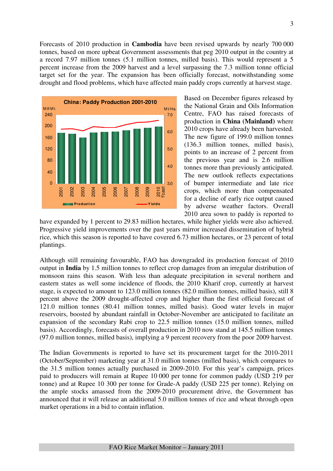Forecasts of 2010 production in **Cambodia** have been revised upwards by nearly 700 000 tonnes, based on more upbeat Government assessments that peg 2010 output in the country at a record 7.97 million tonnes (5.1 million tonnes, milled basis). This would represent a 5 percent increase from the 2009 harvest and a level surpassing the 7.3 million tonne official target set for the year. The expansion has been officially forecast, notwithstanding some drought and flood problems, which have affected main paddy crops currently at harvest stage.



Based on December figures released by the National Grain and Oils Information Centre, FAO has raised forecasts of production in **China (Mainland)** where 2010 crops have already been harvested. The new figure of 199.0 million tonnes (136.3 million tonnes, milled basis), points to an increase of 2 percent from the previous year and is 2.6 million tonnes more than previously anticipated. The new outlook reflects expectations of bumper intermediate and late rice crops, which more than compensated for a decline of early rice output caused by adverse weather factors. Overall 2010 area sown to paddy is reported to

have expanded by 1 percent to 29.83 million hectares, while higher yields were also achieved. Progressive yield improvements over the past years mirror increased dissemination of hybrid rice, which this season is reported to have covered 6.73 million hectares, or 23 percent of total plantings.

Although still remaining favourable, FAO has downgraded its production forecast of 2010 output in **India** by 1.5 million tonnes to reflect crop damages from an irregular distribution of monsoon rains this season. With less than adequate precipitation in several northern and eastern states as well some incidence of floods, the 2010 Kharif crop, currently at harvest stage, is expected to amount to 123.0 million tonnes (82.0 million tonnes, milled basis), still 8 percent above the 2009 drought-affected crop and higher than the first official forecast of 121.0 million tonnes (80.41 million tonnes, milled basis). Good water levels in major reservoirs, boosted by abundant rainfall in October-November are anticipated to facilitate an expansion of the secondary Rabi crop to 22.5 million tonnes (15.0 million tonnes, milled basis). Accordingly, forecasts of overall production in 2010 now stand at 145.5 million tonnes (97.0 million tonnes, milled basis), implying a 9 percent recovery from the poor 2009 harvest.

The Indian Governments is reported to have set its procurement target for the 2010-2011 (October/September) marketing year at 31.0 million tonnes (milled basis), which compares to the 31.5 million tonnes actually purchased in 2009-2010. For this year's campaign, prices paid to producers will remain at Rupee 10 000 per tonne for common paddy (USD 219 per tonne) and at Rupee 10 300 per tonne for Grade-A paddy (USD 225 per tonne). Relying on the ample stocks amassed from the 2009-2010 procurement drive, the Government has announced that it will release an additional 5.0 million tonnes of rice and wheat through open market operations in a bid to contain inflation.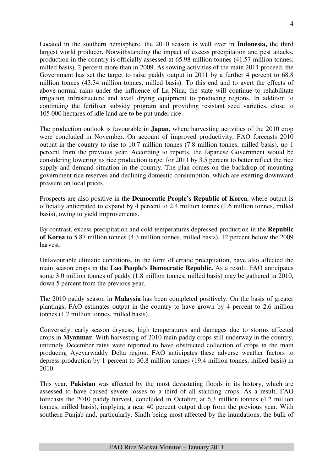Located in the southern hemisphere, the 2010 season is well over in **Indonesia,** the third largest world producer. Notwithstanding the impact of excess precipitation and pest attacks, production in the country is officially assessed at 65.98 million tonnes (41.57 million tonnes, milled basis), 2 percent more than in 2009. As sowing activities of the main 2011 proceed, the Government has set the target to raise paddy output in 2011 by a further 4 percent to 68.8 million tonnes (43.34 million tonnes, milled basis). To this end and to avert the effects of above-normal rains under the influence of La Nina, the state will continue to rehabilitate irrigation infrastructure and avail drying equipment to producing regions. In addition to continuing the fertiliser subsidy program and providing resistant seed varieties, close to 105 000 hectares of idle land are to be put under rice.

The production outlook is favourable in **Japan,** where harvesting activities of the 2010 crop were concluded in November. On account of improved productivity, FAO forecasts 2010 output in the country to rise to 10.7 million tonnes (7.8 million tonnes, milled basis), up 1 percent from the previous year. According to reports, the Japanese Government would be considering lowering its rice production target for 2011 by 3.5 percent to better reflect the rice supply and demand situation in the country. The plan comes on the backdrop of mounting government rice reserves and declining domestic consumption, which are exerting downward pressure on local prices.

Prospects are also positive in the **Democratic People's Republic of Korea**, where output is officially anticipated to expand by 4 percent to 2.4 million tonnes (1.6 million tonnes, milled basis), owing to yield improvements.

By contrast, excess precipitation and cold temperatures depressed production in the **Republic of Korea** to 5.87 million tonnes (4.3 million tonnes, milled basis), 12 percent below the 2009 harvest.

Unfavourable climatic conditions, in the form of erratic precipitation, have also affected the main season crops in the **Lao People's Democratic Republic.** As a result, FAO anticipates some 3.0 million tonnes of paddy (1.8 million tonnes, milled basis) may be gathered in 2010, down 5 percent from the previous year.

The 2010 paddy season in **Malaysia** has been completed positively. On the basis of greater plantings, FAO estimates output in the country to have grown by 4 percent to 2.6 million tonnes (1.7 million tonnes, milled basis).

Conversely, early season dryness, high temperatures and damages due to storms affected crops in **Myanmar**. With harvesting of 2010 main paddy crops still underway in the country, untimely December rains were reported to have obstructed collection of crops in the main producing Ayeyarwaddy Delta region. FAO anticipates these adverse weather factors to depress production by 1 percent to 30.8 million tonnes (19.4 million tonnes, milled basis) in 2010.

This year, **Pakistan** was affected by the most devastating floods in its history, which are assessed to have caused severe losses to a third of all standing crops. As a result, FAO forecasts the 2010 paddy harvest, concluded in October, at 6.3 million tonnes (4.2 million tonnes, milled basis), implying a near 40 percent output drop from the previous year. With southern Punjab and, particularly, Sindh being most affected by the inundations, the bulk of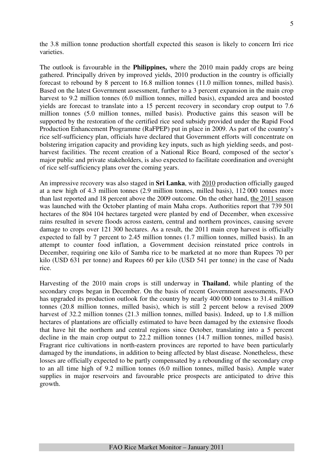the 3.8 million tonne production shortfall expected this season is likely to concern Irri rice varieties.

The outlook is favourable in the **Philippines,** where the 2010 main paddy crops are being gathered. Principally driven by improved yields, 2010 production in the country is officially forecast to rebound by 8 percent to 16.8 million tonnes (11.0 million tonnes, milled basis). Based on the latest Government assessment, further to a 3 percent expansion in the main crop harvest to 9.2 million tonnes (6.0 million tonnes, milled basis), expanded area and boosted yields are forecast to translate into a 15 percent recovery in secondary crop output to 7.6 million tonnes (5.0 million tonnes, milled basis). Productive gains this season will be supported by the restoration of the certified rice seed subsidy provided under the Rapid Food Production Enhancement Programme (RaFPEP) put in place in 2009. As part of the country's rice self-sufficiency plan, officials have declared that Government efforts will concentrate on bolstering irrigation capacity and providing key inputs, such as high yielding seeds, and postharvest facilities. The recent creation of a National Rice Board, composed of the sector's major public and private stakeholders, is also expected to facilitate coordination and oversight of rice self-sufficiency plans over the coming years.

An impressive recovery was also staged in **Sri Lanka**, with 2010 production officially gauged at a new high of 4.3 million tonnes (2.9 million tonnes, milled basis), 112 000 tonnes more than last reported and 18 percent above the 2009 outcome. On the other hand, the 2011 season was launched with the October planting of main Maha crops. Authorities report that 739 501 hectares of the 804 104 hectares targeted were planted by end of December, when excessive rains resulted in severe floods across eastern, central and northern provinces, causing severe damage to crops over 121 300 hectares. As a result, the 2011 main crop harvest is officially expected to fall by 7 percent to 2.45 million tonnes (1.7 million tonnes, milled basis). In an attempt to counter food inflation, a Government decision reinstated price controls in December, requiring one kilo of Samba rice to be marketed at no more than Rupees 70 per kilo (USD 631 per tonne) and Rupees 60 per kilo (USD 541 per tonne) in the case of Nadu rice.

Harvesting of the 2010 main crops is still underway in **Thailand**, while planting of the secondary crops began in December. On the basis of recent Government assessments, FAO has upgraded its production outlook for the country by nearly 400 000 tonnes to 31.4 million tonnes (20.8 million tonnes, milled basis), which is still 2 percent below a revised 2009 harvest of 32.2 million tonnes (21.3 million tonnes, milled basis). Indeed, up to 1.8 million hectares of plantations are officially estimated to have been damaged by the extensive floods that have hit the northern and central regions since October, translating into a 5 percent decline in the main crop output to 22.2 million tonnes (14.7 million tonnes, milled basis). Fragrant rice cultivations in north-eastern provinces are reported to have been particularly damaged by the inundations, in addition to being affected by blast disease. Nonetheless, these losses are officially expected to be partly compensated by a rebounding of the secondary crop to an all time high of 9.2 million tonnes (6.0 million tonnes, milled basis). Ample water supplies in major reservoirs and favourable price prospects are anticipated to drive this growth.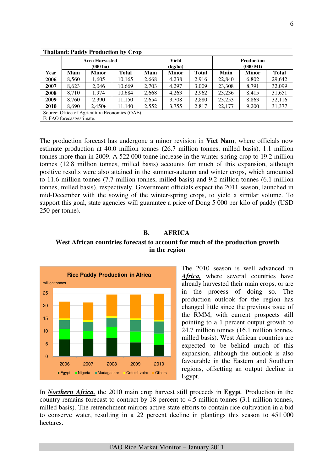|             |                                               |                                             | <b>Thailand: Paddy Production by Crop</b> |       |                  |              |        |                                         |              |  |
|-------------|-----------------------------------------------|---------------------------------------------|-------------------------------------------|-------|------------------|--------------|--------|-----------------------------------------|--------------|--|
|             |                                               | <b>Area Harvested</b><br>$(000 \text{ ha})$ |                                           |       | Yield<br>(kg/ha) |              |        | <b>Production</b><br>$(000 \text{ Mt})$ |              |  |
| Year        | Main                                          | <b>Minor</b>                                | <b>Total</b>                              | Main  | <b>Minor</b>     | <b>Total</b> | Main   | Minor                                   | <b>Total</b> |  |
| 2006        | 8.560                                         | 1.605                                       | 10,165                                    | 2,668 | 4,238            | 2.916        | 22,840 | 6.802                                   | 29,642       |  |
| 2007        | 8,623                                         | 2,046                                       | 10,669                                    | 2,703 | 4,297            | 3,009        | 23,308 | 8,791                                   | 32,099       |  |
| 2008        | 8.710                                         | 1,974                                       | 10,684                                    | 2,668 | 4,263            | 2,962        | 23,236 | 8,415                                   | 31,651       |  |
| 2009        | 8.760                                         | 2.390                                       | 11,150                                    | 2.654 | 3,708            | 2,880        | 23,253 | 8,863                                   | 32,116       |  |
| <b>2010</b> | 8.690                                         | 2.450F                                      | 11,140                                    | 2,552 | 3,755            | 2,817        | 22,177 | 9,200                                   | 31,377       |  |
|             | Source: Office of Agriculture Economics (OAE) |                                             |                                           |       |                  |              |        |                                         |              |  |
|             | F: FAO forecast/estimate.                     |                                             |                                           |       |                  |              |        |                                         |              |  |

The production forecast has undergone a minor revision in **Viet Nam**, where officials now estimate production at 40.0 million tonnes (26.7 million tonnes, milled basis), 1.1 million tonnes more than in 2009. A 522 000 tonne increase in the winter-spring crop to 19.2 million tonnes (12.8 million tonnes, milled basis) accounts for much of this expansion, although positive results were also attained in the summer-autumn and winter crops, which amounted to 11.6 million tonnes (7.7 million tonnes, milled basis) and 9.2 million tonnes (6.1 million tonnes, milled basis), respectively. Government officials expect the 2011 season, launched in mid-December with the sowing of the winter-spring crops, to yield a similar volume. To support this goal, state agencies will guarantee a price of Dong 5 000 per kilo of paddy (USD 250 per tonne).

# **B. AFRICA**

## **West African countries forecast to account for much of the production growth in the region**



The 2010 season is well advanced in Africa, where several countries have already harvested their main crops, or are in the process of doing so. The production outlook for the region has changed little since the previous issue of the RMM, with current prospects still pointing to a 1 percent output growth to 24.7 million tonnes (16.1 million tonnes, milled basis). West African countries are expected to be behind much of this expansion, although the outlook is also favourable in the Eastern and Southern regions, offsetting an output decline in Egypt.

In *Northern Africa,* the 2010 main crop harvest still proceeds in **Egypt**. Production in the country remains forecast to contract by 18 percent to 4.5 million tonnes (3.1 million tonnes, milled basis). The retrenchment mirrors active state efforts to contain rice cultivation in a bid to conserve water, resulting in a 22 percent decline in plantings this season to 451 000 hectares.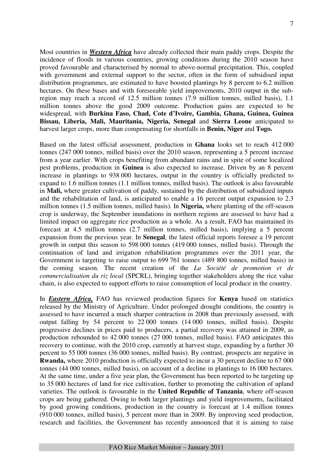Most countries in *Western Africa* have already collected their main paddy crops. Despite the incidence of floods in various countries, growing conditions during the 2010 season have proved favourable and characterised by normal to above-normal precipitation. This, coupled with government and external support to the sector, often in the form of subsidised input distribution programmes, are estimated to have boosted plantings by 8 percent to 6.2 million hectares. On these bases and with foreseeable yield improvements, 2010 output in the subregion may reach a record of 12.5 million tonnes (7.9 million tonnes, milled basis), 1.1 million tonnes above the good 2009 outcome. Production gains are expected to be widespread, with **Burkina Faso, Chad, Cote d'Ivoire, Gambia, Ghana, Guinea, Guinea Bissau, Liberia, Mali, Mauritania, Nigeria, Senegal** and **Sierra Leone** anticipated to harvest larger crops, more than compensating for shortfalls in **Benin, Niger** and **Togo.** 

Based on the latest official assessment, production in **Ghana** looks set to reach 412 000 tonnes (247 000 tonnes, milled basis) over the 2010 season, representing a 5 percent increase from a year earlier. With crops benefiting from abundant rains and in spite of some localized pest problems, production in **Guinea** is also expected to increase. Driven by an 8 percent increase in plantings to 938 000 hectares, output in the country is officially predicted to expand to 1.6 million tonnes (1.1 million tonnes, milled basis). The outlook is also favourable in **Mali,** where greater cultivation of paddy, sustained by the distribution of subsidized inputs and the rehabilitation of land, is anticipated to enable a 16 percent output expansion to 2.3 million tonnes (1.5 million tonnes, milled basis). In **Nigeria,** where planting of the off-season crop is underway, the September inundations in northern regions are assessed to have had a limited impact on aggregate rice production as a whole. As a result, FAO has maintained its forecast at 4.5 million tonnes (2.7 million tonnes, milled basis), implying a 5 percent expansion from the previous year. In **Senegal**, the latest official reports foresee a 19 percent growth in output this season to 598 000 tonnes (419 000 tonnes, milled basis). Through the continuation of land and irrigation rehabilitation programmes over the 2011 year, the Government is targeting to raise output to 699 761 tonnes (489 800 tonnes, milled basis) in the coming season. The recent creation of the *La Société de promotion et de commercialisation du riz local* (SPCRL), bringing together stakeholders along the rice value chain, is also expected to support efforts to raise consumption of local produce in the country.

In *Eastern Africa,* FAO has reviewed production figures for **Kenya** based on statistics released by the Ministry of Agriculture. Under prolonged drought conditions, the country is assessed to have incurred a much sharper contraction in 2008 than previously assessed, with output falling by 54 percent to 22 000 tonnes (14 000 tonnes, milled basis). Despite progressive declines in prices paid to producers, a partial recovery was attained in 2009, as production rebounded to 42 000 tonnes (27 000 tonnes, milled basis). FAO anticipates this recovery to continue, with the 2010 crop, currently at harvest stage, expanding by a further 30 percent to 55 000 tonnes (36 000 tonnes, milled basis). By contrast, prospects are negative in **Rwanda,** where 2010 production is officially expected to incur a 30 percent decline to 67 000 tonnes (44 000 tonnes, milled basis), on account of a decline in plantings to 16 000 hectares. At the same time, under a five year plan, the Government has been reported to be targeting up to 35 000 hectares of land for rice cultivation, further to promoting the cultivation of upland varieties. The outlook is favourable in the **United Republic of Tanzania**, where off-season crops are being gathered. Owing to both larger plantings and yield improvements, facilitated by good growing conditions, production in the country is forecast at 1.4 million tonnes (910 000 tonnes, milled basis), 5 percent more than in 2009. By improving seed production, research and facilities, the Government has recently announced that it is aiming to raise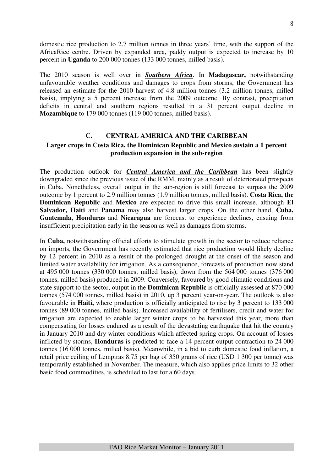domestic rice production to 2.7 million tonnes in three years' time, with the support of the AfricaRice centre. Driven by expanded area, paddy output is expected to increase by 10 percent in **Uganda** to 200 000 tonnes (133 000 tonnes, milled basis).

The 2010 season is well over in *Southern Africa*. In **Madagascar,** notwithstanding unfavourable weather conditions and damages to crops from storms, the Government has released an estimate for the 2010 harvest of 4.8 million tonnes (3.2 million tonnes, milled basis), implying a 5 percent increase from the 2009 outcome. By contrast, precipitation deficits in central and southern regions resulted in a 31 percent output decline in **Mozambique** to 179 000 tonnes (119 000 tonnes, milled basis).

## **C. CENTRAL AMERICA AND THE CARIBBEAN**

#### **Larger crops in Costa Rica, the Dominican Republic and Mexico sustain a 1 percent production expansion in the sub-region**

The production outlook for *Central America and the Caribbean* has been slightly downgraded since the previous issue of the RMM, mainly as a result of deteriorated prospects in Cuba. Nonetheless, overall output in the sub-region is still forecast to surpass the 2009 outcome by 1 percent to 2.9 million tonnes (1.9 million tonnes, milled basis). **Costa Rica, the Dominican Republic** and **Mexico** are expected to drive this small increase, although **El Salvador, Haiti** and **Panama** may also harvest larger crops. On the other hand, **Cuba, Guatemala, Honduras** and **Nicaragua** are forecast to experience declines, ensuing from insufficient precipitation early in the season as well as damages from storms.

In **Cuba,** notwithstanding official efforts to stimulate growth in the sector to reduce reliance on imports, the Government has recently estimated that rice production would likely decline by 12 percent in 2010 as a result of the prolonged drought at the onset of the season and limited water availability for irrigation. As a consequence, forecasts of production now stand at 495 000 tonnes (330 000 tonnes, milled basis), down from the 564 000 tonnes (376 000 tonnes, milled basis) produced in 2009. Conversely, favoured by good climatic conditions and state support to the sector, output in the **Dominican Republic** is officially assessed at 870 000 tonnes (574 000 tonnes, milled basis) in 2010, up 3 percent year-on-year. The outlook is also favourable in **Haiti,** where production is officially anticipated to rise by 3 percent to 133 000 tonnes (89 000 tonnes, milled basis). Increased availability of fertilisers, credit and water for irrigation are expected to enable larger winter crops to be harvested this year, more than compensating for losses endured as a result of the devastating earthquake that hit the country in January 2010 and dry winter conditions which affected spring crops. On account of losses inflicted by storms, **Honduras** is predicted to face a 14 percent output contraction to 24 000 tonnes (16 000 tonnes, milled basis). Meanwhile, in a bid to curb domestic food inflation, a retail price ceiling of Lempiras 8.75 per bag of 350 grams of rice (USD 1 300 per tonne) was temporarily established in November. The measure, which also applies price limits to 32 other basic food commodities, is scheduled to last for a 60 days.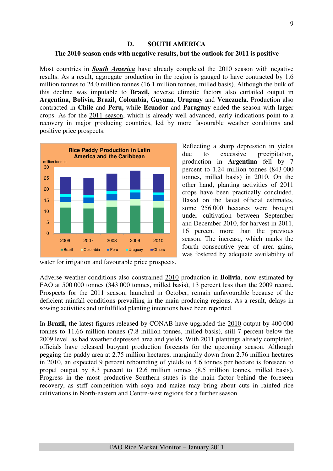#### crops. As for the 2011 season, which is already well advanced, early indications point to a recovery in major producing countries, led by more favourable weather conditions and

**D. SOUTH AMERICA The 2010 season ends with negative results, but the outlook for 2011 is positive** 

Most countries in *South America* have already completed the 2010 season with negative results. As a result, aggregate production in the region is gauged to have contracted by 1.6 million tonnes to 24.0 million tonnes (16.1 million tonnes, milled basis). Although the bulk of this decline was imputable to **Brazil,** adverse climatic factors also curtailed output in **Argentina, Bolivia, Brazil, Colombia, Guyana, Uruguay** and **Venezuela**. Production also contracted in **Chile** and **Peru,** while **Ecuador** and **Paraguay** ended the season with larger

positive price prospects.



Reflecting a sharp depression in yields due to excessive precipitation, production in **Argentina** fell by 7 percent to 1.24 million tonnes (843 000 tonnes, milled basis) in 2010. On the other hand, planting activities of 2011 crops have been practically concluded. Based on the latest official estimates, some 256 000 hectares were brought under cultivation between September and December 2010, for harvest in 2011, 16 percent more than the previous season. The increase, which marks the fourth consecutive year of area gains, was fostered by adequate availability of

water for irrigation and favourable price prospects.

Adverse weather conditions also constrained 2010 production in **Bolivia**, now estimated by FAO at 500 000 tonnes (343 000 tonnes, milled basis), 13 percent less than the 2009 record. Prospects for the 2011 season, launched in October, remain unfavourable because of the deficient rainfall conditions prevailing in the main producing regions. As a result, delays in sowing activities and unfulfilled planting intentions have been reported.

In **Brazil,** the latest figures released by CONAB have upgraded the 2010 output by 400 000 tonnes to 11.66 million tonnes (7.8 million tonnes, milled basis), still 7 percent below the 2009 level, as bad weather depressed area and yields. With 2011 plantings already completed, officials have released buoyant production forecasts for the upcoming season. Although pegging the paddy area at 2.75 million hectares, marginally down from 2.76 million hectares in 2010, an expected 9 percent rebounding of yields to 4.6 tonnes per hectare is foreseen to propel output by 8.3 percent to 12.6 million tonnes (8.5 million tonnes, milled basis). Progress in the most productive Southern states is the main factor behind the foreseen recovery, as stiff competition with soya and maize may bring about cuts in rainfed rice cultivations in North-eastern and Centre-west regions for a further season.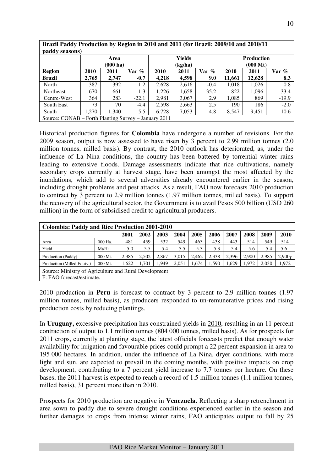|               |       | Area<br>$(000 \text{ ha})$ |         |       | Yields<br>(kg/ha) |        | <b>Production</b><br>$(000 \text{ Mt})$ |        |         |  |  |
|---------------|-------|----------------------------|---------|-------|-------------------|--------|-----------------------------------------|--------|---------|--|--|
| <b>Region</b> | 2010  | 2011                       | Var %   | 2010  | 2011              | Var %  | 2010                                    | 2011   | Var %   |  |  |
| <b>Brazil</b> | 2.765 | 2,747                      | $-0.7$  | 4.218 | 4,598             | 9.0    | 11,661                                  | 12,628 | 8.3     |  |  |
| North         | 387   | 392                        | 1.2     | 2,628 | 2,616             | $-0.4$ | 1,018                                   | 1,026  | 0.8     |  |  |
| Northeast     | 670   | 661                        | $-1.3$  | 1,226 | 1,658             | 35.2   | 822                                     | 1,096  | 33.4    |  |  |
| Centre-West   | 364   | 283                        | $-22.1$ | 2.981 | 3,067             | 2.9    | 1,085                                   | 869    | $-19.9$ |  |  |
| South East    | 73    | 70                         | $-4.4$  | 2,598 | 2,663             | 2.5    | 190                                     | 186    | $-2.0$  |  |  |
| South         | 1.270 | 1,340                      | 5.5     | 6,728 | 7,053             | 4.8    | 8,547                                   | 9,451  | 10.6    |  |  |

**Brazil Paddy Production by Region in 2010 and 2011 (for Brazil: 2009/10 and 2010/11** 

Historical production figures for **Colombia** have undergone a number of revisions. For the 2009 season, output is now assessed to have risen by 3 percent to 2.99 million tonnes (2.0 million tonnes, milled basis). By contrast, the 2010 outlook has deteriorated, as, under the influence of La Nina conditions, the country has been battered by torrential winter rains leading to extensive floods. Damage assessments indicate that rice cultivations, namely secondary crops currently at harvest stage, have been amongst the most affected by the inundations, which add to several adversities already encountered earlier in the season, including drought problems and pest attacks. As a result, FAO now forecasts 2010 production to contract by 3 percent to 2.9 million tonnes (1.97 million tonnes, milled basis). To support the recovery of the agricultural sector, the Government is to avail Pesos 500 billion (USD 260 million) in the form of subsidised credit to agricultural producers.

| <b>Colombia: Paddy and Rice Production 2001-2010</b>                               |         |       |       |       |       |       |       |       |       |       |                    |
|------------------------------------------------------------------------------------|---------|-------|-------|-------|-------|-------|-------|-------|-------|-------|--------------------|
|                                                                                    |         | 2001  | 2002  | 2003  | 2004  | 2005  | 2006  | 2007  | 2008  | 2009  | 2010               |
| Area                                                                               | 000 Ha. | 481   | 459   | 532   | 549   | 463   | 438   | 443   | 514   | 549   | 514                |
| Yield                                                                              | Mt/Ha.  | 5.0   | 5.5   | 5.4   | 5.5   | 5.3   | 5.3   | 5.4   | 5.6   | 5.4   | 5.6                |
| Production (Paddy)                                                                 | 000 Mt. | 2.385 | 2.502 | 2.867 | 3.015 | 2.462 | 2.338 | 2.396 | 2.900 | 2,985 | 2.900 <sub>F</sub> |
| Production (Milled Equiv.)                                                         | 000 Mt. | .622  | 1.701 | 1.949 | 2,051 | 1,674 | 1.590 | 1.629 | 1.972 | 2,030 | 1,972              |
| Source: Ministry of Agriculture and Rural Development<br>F: FAO forecast/estimate. |         |       |       |       |       |       |       |       |       |       |                    |

2010 production in **Peru** is forecast to contract by 3 percent to 2.9 million tonnes (1.97 million tonnes, milled basis), as producers responded to un-remunerative prices and rising production costs by reducing plantings.

In **Uruguay,** excessive precipitation has constrained yields in 2010, resulting in an 11 percent contraction of output to 1.1 million tonnes (804 000 tonnes, milled basis). As for prospects for 2011 crops, currently at planting stage, the latest officials forecasts predict that enough water availability for irrigation and favourable prices could prompt a 22 percent expansion in area to 195 000 hectares. In addition, under the influence of La Nina, dryer conditions, with more light and sun, are expected to prevail in the coming months, with positive impacts on crop development, contributing to a 7 percent yield increase to 7.7 tonnes per hectare. On these bases, the 2011 harvest is expected to reach a record of 1.5 million tonnes (1.1 million tonnes, milled basis), 31 percent more than in 2010.

Prospects for 2010 production are negative in **Venezuela.** Reflecting a sharp retrenchment in area sown to paddy due to severe drought conditions experienced earlier in the season and further damages to crops from intense winter rains, FAO anticipates output to fall by 25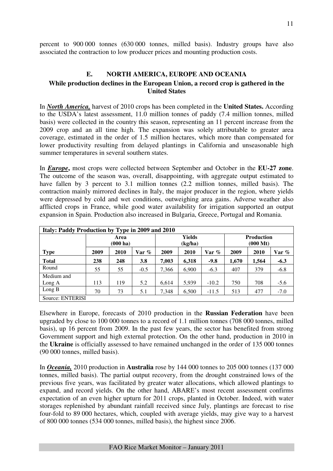percent to 900 000 tonnes (630 000 tonnes, milled basis). Industry groups have also associated the contraction to low producer prices and mounting production costs.

# **E. NORTH AMERICA, EUROPE AND OCEANIA While production declines in the European Union, a record crop is gathered in the United States**

In *North America,* harvest of 2010 crops has been completed in the **United States.** According to the USDA's latest assessment, 11.0 million tonnes of paddy (7.4 million tonnes, milled basis) were collected in the country this season, representing an 11 percent increase from the 2009 crop and an all time high. The expansion was solely attributable to greater area coverage, estimated in the order of 1.5 million hectares, which more than compensated for lower productivity resulting from delayed plantings in California and unseasonable high summer temperatures in several southern states.

In *Europe*, most crops were collected between September and October in the EU-27 zone. The outcome of the season was, overall, disappointing, with aggregate output estimated to have fallen by 3 percent to 3.1 million tonnes (2.2 million tonnes, milled basis). The contraction mainly mirrored declines in Italy, the major producer in the region, where yields were depressed by cold and wet conditions, outweighing area gains. Adverse weather also afflicted crops in France, while good water availability for irrigation supported an output expansion in Spain. Production also increased in Bulgaria, Greece, Portugal and Romania.

| Italy: Paddy Production by Type in 2009 and 2010 |      |                            |        |       |                   |          |                                         |       |          |  |  |
|--------------------------------------------------|------|----------------------------|--------|-------|-------------------|----------|-----------------------------------------|-------|----------|--|--|
|                                                  |      | Area<br>$(000 \text{ ha})$ |        |       | Yields<br>(kg/ha) |          | <b>Production</b><br>$(000 \text{ Mt})$ |       |          |  |  |
| <b>Type</b>                                      | 2009 | 2010                       | Var %  | 2009  | 2010              | Var $\%$ | 2009                                    | 2010  | Var $\%$ |  |  |
| <b>Total</b>                                     | 238  | 248                        | 3.8    | 7,003 | 6,318             | $-9.8$   | 1,670                                   | 1.564 | $-6.3$   |  |  |
| Round                                            | 55   | 55                         | $-0.5$ | 7.366 | 6.900             | $-6.3$   | 407                                     | 379   | $-6.8$   |  |  |
| Medium and                                       |      |                            |        |       |                   |          |                                         |       |          |  |  |
| Long A                                           | 113  | 119                        | 5.2    | 6,614 | 5.939             | $-10.2$  | 750                                     | 708   | $-5.6$   |  |  |
| Long $B$                                         | 70   | 73                         | 5.1    | 7,348 | 6,500             | $-11.5$  | 513                                     | 477   | $-7.0$   |  |  |
| Source: ENTERISI                                 |      |                            |        |       |                   |          |                                         |       |          |  |  |

Elsewhere in Europe, forecasts of 2010 production in the **Russian Federation** have been upgraded by close to 100 000 tonnes to a record of 1.1 million tonnes (708 000 tonnes, milled basis), up 16 percent from 2009. In the past few years, the sector has benefited from strong Government support and high external protection. On the other hand, production in 2010 in the **Ukraine** is officially assessed to have remained unchanged in the order of 135 000 tonnes (90 000 tonnes, milled basis).

In *Oceania,* 2010 production in **Australia** rose by 144 000 tonnes to 205 000 tonnes (137 000 tonnes, milled basis). The partial output recovery, from the drought constrained lows of the previous five years, was facilitated by greater water allocations, which allowed plantings to expand, and record yields. On the other hand, ABARE's most recent assessment confirms expectation of an even higher upturn for 2011 crops, planted in October. Indeed, with water storages replenished by abundant rainfall received since July, plantings are forecast to rise four-fold to 89 000 hectares, which, coupled with average yields, may give way to a harvest of 800 000 tonnes (534 000 tonnes, milled basis), the highest since 2006.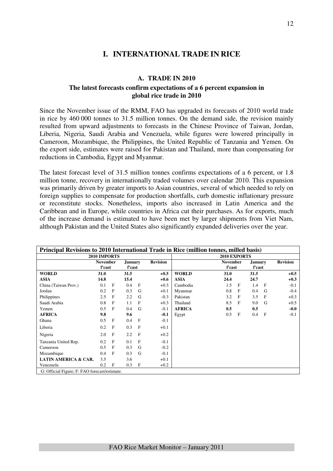# **I. INTERNATIONAL TRADE IN RICE**

#### **A. TRADE IN 2010**

## **The latest forecasts confirm expectations of a 6 percent expansion in global rice trade in 2010**

Since the November issue of the RMM, FAO has upgraded its forecasts of 2010 world trade in rice by 460 000 tonnes to 31.5 million tonnes. On the demand side, the revision mainly resulted from upward adjustments to forecasts in the Chinese Province of Taiwan, Jordan, Liberia, Nigeria, Saudi Arabia and Venezuela, while figures were lowered principally in Cameroon, Mozambique, the Philippines, the United Republic of Tanzania and Yemen. On the export side, estimates were raised for Pakistan and Thailand, more than compensating for reductions in Cambodia, Egypt and Myanmar.

The latest forecast level of 31.5 million tonnes confirms expectations of a 6 percent, or 1.8 million tonne, recovery in internationally traded volumes over calendar 2010. This expansion was primarily driven by greater imports to Asian countries, several of which needed to rely on foreign supplies to compensate for production shortfalls, curb domestic inflationary pressure or reconstitute stocks. Nonetheless, imports also increased in Latin America and the Caribbean and in Europe, while countries in Africa cut their purchases. As for exports, much of the increase demand is estimated to have been met by larger shipments from Viet Nam, although Pakistan and the United States also significantly expanded deliveries over the year.

|                                               |                           |              |                          |              |                 | Principal Revisions to 2010 International Trade in Rice (million tonnes, milled basis) |                           |              |                          |              |                 |
|-----------------------------------------------|---------------------------|--------------|--------------------------|--------------|-----------------|----------------------------------------------------------------------------------------|---------------------------|--------------|--------------------------|--------------|-----------------|
|                                               | 2010 IMPORTS              |              |                          |              |                 |                                                                                        | 2010 EXPORTS              |              |                          |              |                 |
|                                               | <b>November</b><br>f'cast |              | <b>January</b><br>f'cast |              | <b>Revision</b> |                                                                                        | <b>November</b><br>f'cast |              | <b>January</b><br>f'cast |              | <b>Revision</b> |
| <b>WORLD</b>                                  | 31.0                      |              | 31.5                     |              | $+0.5$          | <b>WORLD</b>                                                                           | 31.0                      |              | 31.5                     |              | $+0.5$          |
| <b>ASIA</b>                                   | 14.8                      |              | 15.4                     |              | $+0.6$          | <b>ASIA</b>                                                                            | 24.4                      |              | 24.7                     |              | $+0.3$          |
| China (Taiwan Prov.)                          | 0.1                       | F            | 0.4                      | $\mathbf{F}$ | $+0.3$          | Cambodia                                                                               | 1.5                       | F            | 1.4                      | $\mathbf{F}$ | $-0.1$          |
| Jordan                                        | 0.2                       | F            | 0.3                      | G            | $+0.1$          | Myanmar                                                                                | 0.8                       | $\mathbf{F}$ | 0.4                      | G            | $-0.4$          |
| Philippines                                   | 2.5                       | F            | 2.2                      | G            | $-0.3$          | Pakistan                                                                               | 3.2                       | $\mathbf{F}$ | 3.5                      | $\mathbf F$  | $+0.3$          |
| Saudi Arabia                                  | 0.8                       | F            | 1.1                      | F            | $+0.3$          | Thailand                                                                               | 8.5                       | $\mathbf{F}$ | 9.0                      | G            | $+0.5$          |
| Yemen                                         | 0.5                       | F            | 0.4                      | G            | $-0.1$          | <b>AFRICA</b>                                                                          | 0.5                       |              | 0.5                      |              | $-0.0$          |
| <b>AFRICA</b>                                 | 9.8                       |              | 9.6                      |              | $-0.1$          | Egypt                                                                                  | 0.5                       | F            | 0.4                      | $\mathbf{F}$ | $-0.1$          |
| Ghana                                         | 0.5                       | F            | 0.4                      | $\mathbf{F}$ | $-0.1$          |                                                                                        |                           |              |                          |              |                 |
| Liberia                                       | 0.2                       | $\mathbf{F}$ | 0.3                      | $\mathbf{F}$ | $+0.1$          |                                                                                        |                           |              |                          |              |                 |
| Nigeria                                       | 2.0                       | F            | 2.2                      | F            | $+0.2$          |                                                                                        |                           |              |                          |              |                 |
| Tanzania United Rep.                          | 0.2                       | $\mathbf{F}$ | 0.1                      | $\mathbf{F}$ | $-0.1$          |                                                                                        |                           |              |                          |              |                 |
| Cameroon                                      | 0.5                       | F            | 0.3                      | G            | $-0.2$          |                                                                                        |                           |              |                          |              |                 |
| Mozambique                                    | 0.4                       | F            | 0.3                      | G            | $-0.1$          |                                                                                        |                           |              |                          |              |                 |
| <b>LATIN AMERICA &amp; CAR.</b>               | 3.5                       |              | 3.6                      |              | $+0.1$          |                                                                                        |                           |              |                          |              |                 |
| Venezuela                                     | 0.2                       | F            | 0.3                      | F            | $+0.2$          |                                                                                        |                           |              |                          |              |                 |
| G: Official Figure: F: FAO forecast/estimate. |                           |              |                          |              |                 |                                                                                        |                           |              |                          |              |                 |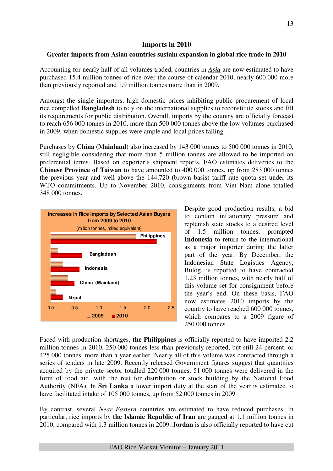# **Imports in 2010**

# **Greater imports from Asian countries sustain expansion in global rice trade in 2010**

Accounting for nearly half of all volumes traded, countries in *Asia* are now estimated to have purchased 15.4 million tonnes of rice over the course of calendar 2010, nearly 600 000 more than previously reported and 1.9 million tonnes more than in 2009.

Amongst the single importers, high domestic prices inhibiting public procurement of local rice compelled **Bangladesh** to rely on the international supplies to reconstitute stocks and fill its requirements for public distribution. Overall, imports by the country are officially forecast to reach 656 000 tonnes in 2010, more than 500 000 tonnes above the low volumes purchased in 2009, when domestic supplies were ample and local prices falling.

Purchases by **China (Mainland)** also increased by 143 000 tonnes to 500 000 tonnes in 2010, still negligible considering that more than 5 million tonnes are allowed to be imported on preferential terms. Based on exporter's shipment reports, FAO estimates deliveries to the **Chinese Province of Taiwan** to have amounted to 400 000 tonnes, up from 283 000 tonnes the previous year and well above the 144,720 (brown basis) tariff rate quota set under its WTO commitments. Up to November 2010, consignments from Viet Nam alone totalled 348 000 tonnes.



Despite good production results, a bid to contain inflationary pressure and replenish state stocks to a desired level of 1.5 million tonnes, prompted **Indonesia** to return to the international as a major importer during the latter part of the year. By December, the Indonesian State Logistics Agency, Bulog, is reported to have contracted 1.23 million tonnes, with nearly half of this volume set for consignment before the year's end. On these basis, FAO now estimates 2010 imports by the country to have reached 600 000 tonnes, which compares to a 2009 figure of 250 000 tonnes.

Faced with production shortages, **the Philippines** is officially reported to have imported 2.2 million tonnes in 2010, 250 000 tonnes less than previously reported, but still 24 percent, or 425 000 tonnes, more than a year earlier. Nearly all of this volume was contracted through a series of tenders in late 2009. Recently released Government figures suggest that quantities acquired by the private sector totalled 220 000 tonnes, 51 000 tonnes were delivered in the form of food aid, with the rest for distribution or stock building by the National Food Authority (NFA). In **Sri Lanka** a lower import duty at the start of the year is estimated to have facilitated intake of 105 000 tonnes, up from 52 000 tonnes in 2009.

By contrast, several *Near Eastern* countries are estimated to have reduced purchases. In particular, rice imports by **the Islamic Republic of Iran** are gauged at 1.1 million tonnes in 2010, compared with 1.3 million tonnes in 2009. **Jordan** is also officially reported to have cut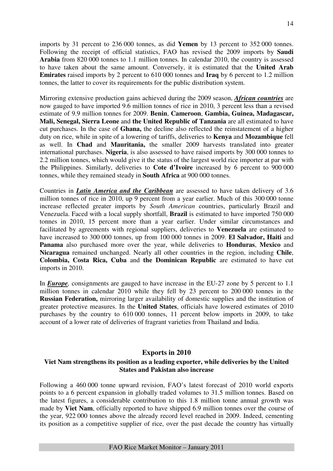imports by 31 percent to 236 000 tonnes, as did **Yemen** by 13 percent to 352 000 tonnes. Following the receipt of official statistics, FAO has revised the 2009 imports by **Saudi Arabia** from 820 000 tonnes to 1.1 million tonnes. In calendar 2010, the country is assessed to have taken about the same amount. Conversely, it is estimated that the **United Arab Emirates** raised imports by 2 percent to 610 000 tonnes and **Iraq** by 6 percent to 1.2 million tonnes, the latter to cover its requirements for the public distribution system.

Mirroring extensive production gains achieved during the 2009 season, *African countries* are now gauged to have imported 9.6 million tonnes of rice in 2010, 3 percent less than a revised estimate of 9.9 million tonnes for 2009. **Benin**, **Cameroon**, **Gambia, Guinea, Madagascar, Mali, Senegal, Sierra Leone** and **the United Republic of Tanzania** are all estimated to have cut purchases. In the case of **Ghana,** the decline also reflected the reinstatement of a higher duty on rice, while in spite of a lowering of tariffs, deliveries to **Kenya** and **Mozambique** fell as well. In **Chad** and **Mauritania,** the smaller 2009 harvests translated into greater international purchases. **Nigeria**, is also assessed to have raised imports by 300 000 tonnes to 2.2 million tonnes, which would give it the status of the largest world rice importer at par with the Philippines. Similarly, deliveries to **Cote d'Ivoire** increased by 6 percent to 900 000 tonnes, while they remained steady in **South Africa** at 900 000 tonnes.

Countries in *Latin America and the Caribbean* are assessed to have taken delivery of 3.6 million tonnes of rice in 2010, up 9 percent from a year earlier. Much of this 300 000 tonne increase reflected greater imports by *South American* countries, particularly Brazil and Venezuela. Faced with a local supply shortfall, **Brazil** is estimated to have imported 750 000 tonnes in 2010, 15 percent more than a year earlier. Under similar circumstances and facilitated by agreements with regional suppliers, deliveries to **Venezuela** are estimated to have increased to 300 000 tonnes, up from 100 000 tonnes in 2009. **El Salvador, Haiti** and **Panama** also purchased more over the year, while deliveries to **Honduras**, **Mexico** and **Nicaragua** remained unchanged. Nearly all other countries in the region, including **Chile**, **Colombia, Costa Rica, Cuba** and **the Dominican Republic** are estimated to have cut imports in 2010.

In *Europe,* consignments are gauged to have increase in the EU-27 zone by 5 percent to 1.1 million tonnes in calendar 2010 while they fell by 23 percent to 200 000 tonnes in the **Russian Federation,** mirroring larger availability of domestic supplies and the institution of greater protective measures. In the **United States**, officials have lowered estimates of 2010 purchases by the country to 610 000 tonnes, 11 percent below imports in 2009, to take account of a lower rate of deliveries of fragrant varieties from Thailand and India.

# **Exports in 2010**

# **Viet Nam strengthens its position as a leading exporter, while deliveries by the United States and Pakistan also increase**

Following a 460 000 tonne upward revision, FAO's latest forecast of 2010 world exports points to a 6 percent expansion in globally traded volumes to 31.5 million tonnes. Based on the latest figures, a considerable contribution to this 1.8 million tonne annual growth was made by **Viet Nam**, officially reported to have shipped 6.9 million tonnes over the course of the year, 922 000 tonnes above the already record level reached in 2009. Indeed, cementing its position as a competitive supplier of rice, over the past decade the country has virtually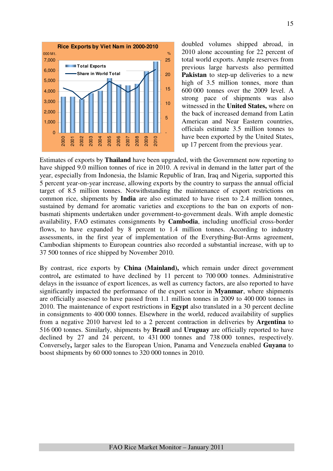

doubled volumes shipped abroad, in 2010 alone accounting for 22 percent of total world exports. Ample reserves from previous large harvests also permitted **Pakistan** to step-up deliveries to a new high of 3.5 million tonnes, more than 600 000 tonnes over the 2009 level. A strong pace of shipments was also witnessed in the **United States,** where on the back of increased demand from Latin American and Near Eastern countries, officials estimate 3.5 million tonnes to have been exported by the United States, up 17 percent from the previous year.

Estimates of exports by **Thailand** have been upgraded, with the Government now reporting to have shipped 9.0 million tonnes of rice in 2010. A revival in demand in the latter part of the year, especially from Indonesia, the Islamic Republic of Iran, Iraq and Nigeria, supported this 5 percent year-on-year increase, allowing exports by the country to surpass the annual official target of 8.5 million tonnes. Notwithstanding the maintenance of export restrictions on common rice, shipments by **India** are also estimated to have risen to 2.4 million tonnes, sustained by demand for aromatic varieties and exceptions to the ban on exports of nonbasmati shipments undertaken under government-to-government deals. With ample domestic availability, FAO estimates consignments by **Cambodia**, including unofficial cross-border flows, to have expanded by 8 percent to 1.4 million tonnes. According to industry assessments, in the first year of implementation of the Everything-But-Arms agreement, Cambodian shipments to European countries also recorded a substantial increase, with up to 37 500 tonnes of rice shipped by November 2010.

By contrast, rice exports by **China (Mainland),** which remain under direct government control**,** are estimated to have declined by 11 percent to 700 000 tonnes. Administrative delays in the issuance of export licences, as well as currency factors, are also reported to have significantly impacted the performance of the export sector in **Myanmar**, where shipments are officially assessed to have passed from 1.1 million tonnes in 2009 to 400 000 tonnes in 2010. The maintenance of export restrictions in **Egypt** also translated in a 30 percent decline in consignments to 400 000 tonnes. Elsewhere in the world, reduced availability of supplies from a negative 2010 harvest led to a 2 percent contraction in deliveries by **Argentina** to 516 000 tonnes. Similarly, shipments by **Brazil** and **Uruguay** are officially reported to have declined by 27 and 24 percent, to 431 000 tonnes and 738 000 tonnes, respectively. Conversely**,** larger sales to the European Union, Panama and Venezuela enabled **Guyana** to boost shipments by 60 000 tonnes to 320 000 tonnes in 2010.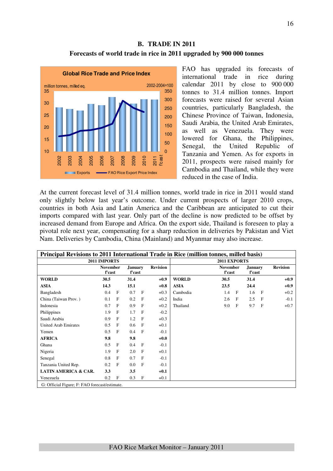# **B. TRADE IN 2011 Forecasts of world trade in rice in 2011 upgraded by 900 000 tonnes**



FAO has upgraded its forecasts of international trade in rice during calendar 2011 by close to 900 000 tonnes to 31.4 million tonnes. Import forecasts were raised for several Asian countries, particularly Bangladesh, the Chinese Province of Taiwan, Indonesia, Saudi Arabia, the United Arab Emirates, as well as Venezuela. They were lowered for Ghana, the Philippines, Senegal, the United Republic of Tanzania and Yemen. As for exports in 2011, prospects were raised mainly for Cambodia and Thailand, while they were reduced in the case of India.

At the current forecast level of 31.4 million tonnes, world trade in rice in 2011 would stand only slightly below last year's outcome. Under current prospects of larger 2010 crops, countries in both Asia and Latin America and the Caribbean are anticipated to cut their imports compared with last year. Only part of the decline is now predicted to be offset by increased demand from Europe and Africa. On the export side, Thailand is foreseen to play a pivotal role next year, compensating for a sharp reduction in deliveries by Pakistan and Viet Nam. Deliveries by Cambodia, China (Mainland) and Myanmar may also increase.

| Principal Revisions to 2011 International Trade in Rice (million tonnes, milled basis) |                           |              |                          |              |                 |              |                           |              |                                 |              |                 |
|----------------------------------------------------------------------------------------|---------------------------|--------------|--------------------------|--------------|-----------------|--------------|---------------------------|--------------|---------------------------------|--------------|-----------------|
|                                                                                        | 2011 IMPORTS              |              |                          |              |                 |              |                           |              |                                 |              |                 |
|                                                                                        | <b>November</b><br>f'cast |              | <b>January</b><br>f'cast |              | <b>Revision</b> |              | <b>November</b><br>f'cast |              | <b>January</b><br><b>f'cast</b> |              | <b>Revision</b> |
| <b>WORLD</b>                                                                           | 30.5                      |              | 31.4                     |              | $+0.9$          | <b>WORLD</b> | 30.5                      |              | 31.4                            |              | $+0.9$          |
| <b>ASIA</b>                                                                            | 14.3                      |              | 15.1                     |              | $+0.8$          | <b>ASIA</b>  | 23.5                      |              | 24.4                            |              | $+0.9$          |
| Bangladesh                                                                             | 0.4                       | $\mathbf{F}$ | 0.7                      | $\mathbf{F}$ | $+0.3$          | Cambodia     | 1.4                       | F            | 1.6                             | $\mathbf{F}$ | $+0.2$          |
| China (Taiwan Prov.)                                                                   | 0.1                       | F            | 0.2                      | $\mathbf{F}$ | $+0.2$          | India        | 2.6                       | $\mathbf{F}$ | 2.5                             | F            | $-0.1$          |
| Indonesia                                                                              | 0.7                       | F            | 0.9                      | $\mathbf{F}$ | $+0.2$          | Thailand     | 9.0                       | F            | 9.7                             | $\mathbf{F}$ | $+0.7$          |
| Philippines                                                                            | 1.9                       | $\mathbf{F}$ | 1.7                      | $\mathbf{F}$ | $-0.2$          |              |                           |              |                                 |              |                 |
| Saudi Arabia                                                                           | 0.9                       | F            | 1.2                      | $\mathbf{F}$ | $+0.3$          |              |                           |              |                                 |              |                 |
| <b>United Arab Emirates</b>                                                            | 0.5                       | F            | 0.6                      | $\mathbf{F}$ | $+0.1$          |              |                           |              |                                 |              |                 |
| Yemen                                                                                  | 0.5                       | F            | 0.4                      | F            | $-0.1$          |              |                           |              |                                 |              |                 |
| <b>AFRICA</b>                                                                          | 9.8                       |              | 9.8                      |              | $+0.0$          |              |                           |              |                                 |              |                 |
| Ghana                                                                                  | 0.5                       | F            | 0.4                      | F            | $-0.1$          |              |                           |              |                                 |              |                 |
| Nigeria                                                                                | 1.9                       | F            | 2.0                      | $\mathbf{F}$ | $+0.1$          |              |                           |              |                                 |              |                 |
| Senegal                                                                                | 0.8                       | F            | 0.7                      | $\mathbf{F}$ | $-0.1$          |              |                           |              |                                 |              |                 |
| Tanzania United Rep.                                                                   | 0.2                       | F            | 0.0                      | $\mathbf{F}$ | $-0.1$          |              |                           |              |                                 |              |                 |
| <b>LATIN AMERICA &amp; CAR.</b>                                                        | 3.3                       |              | 3.5                      |              | $+0.1$          |              |                           |              |                                 |              |                 |
| Venezuela                                                                              | 0.2                       | $\mathbf{F}$ | 0.3                      | F            | $+0.1$          |              |                           |              |                                 |              |                 |
| G: Official Figure; F: FAO forecast/estimate.                                          |                           |              |                          |              |                 |              |                           |              |                                 |              |                 |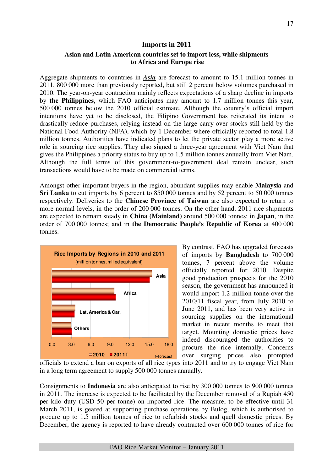#### **Imports in 2011**

## **Asian and Latin American countries set to import less, while shipments to Africa and Europe rise**

Aggregate shipments to countries in *Asia* are forecast to amount to 15.1 million tonnes in 2011, 800 000 more than previously reported, but still 2 percent below volumes purchased in 2010. The year-on-year contraction mainly reflects expectations of a sharp decline in imports by **the Philippines**, which FAO anticipates may amount to 1.7 million tonnes this year, 500 000 tonnes below the 2010 official estimate. Although the country's official import intentions have yet to be disclosed, the Filipino Government has reiterated its intent to drastically reduce purchases, relying instead on the large carry-over stocks still held by the National Food Authority (NFA), which by 1 December where officially reported to total 1.8 million tonnes. Authorities have indicated plans to let the private sector play a more active role in sourcing rice supplies. They also signed a three-year agreement with Viet Nam that gives the Philippines a priority status to buy up to 1.5 million tonnes annually from Viet Nam. Although the full terms of this government-to-government deal remain unclear, such transactions would have to be made on commercial terms.

Amongst other important buyers in the region, abundant supplies may enable **Malaysia** and **Sri Lanka** to cut imports by 6 percent to 850 000 tonnes and by 52 percent to 50 000 tonnes respectively. Deliveries to the **Chinese Province of Taiwan** are also expected to return to more normal levels, in the order of 200 000 tonnes. On the other hand, 2011 rice shipments are expected to remain steady in **China (Mainland)** around 500 000 tonnes; in **Japan**, in the order of 700 000 tonnes; and in **the Democratic People's Republic of Korea** at 400 000 tonnes.



By contrast, FAO has upgraded forecasts of imports by **Bangladesh** to 700 000 tonnes, 7 percent above the volume officially reported for 2010. Despite good production prospects for the 2010 season, the government has announced it would import 1.2 million tonne over the 2010/11 fiscal year, from July 2010 to June 2011, and has been very active in sourcing supplies on the international market in recent months to meet that target. Mounting domestic prices have indeed discouraged the authorities to procure the rice internally. Concerns over surging prices also prompted

officials to extend a ban on exports of all rice types into 2011 and to try to engage Viet Nam in a long term agreement to supply 500 000 tonnes annually.

Consignments to **Indonesia** are also anticipated to rise by 300 000 tonnes to 900 000 tonnes in 2011. The increase is expected to be facilitated by the December removal of a Rupiah 450 per kilo duty (USD 50 per tonne) on imported rice. The measure, to be effective until 31 March 2011, is geared at supporting purchase operations by Bulog, which is authorised to procure up to 1.5 million tonnes of rice to refurbish stocks and quell domestic prices. By December, the agency is reported to have already contracted over 600 000 tonnes of rice for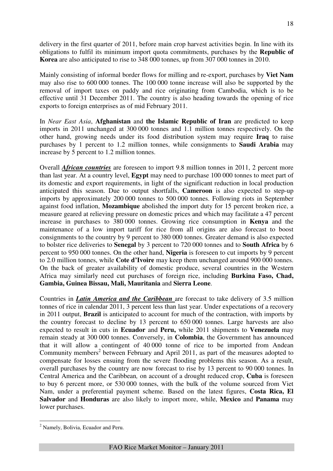delivery in the first quarter of 2011, before main crop harvest activities begin. In line with its obligations to fulfil its minimum import quota commitments, purchases by the **Republic of Korea** are also anticipated to rise to 348 000 tonnes, up from 307 000 tonnes in 2010.

Mainly consisting of informal border flows for milling and re-export, purchases by **Viet Nam** may also rise to 600 000 tonnes. The 100 000 tonne increase will also be supported by the removal of import taxes on paddy and rice originating from Cambodia, which is to be effective until 31 December 2011. The country is also heading towards the opening of rice exports to foreign enterprises as of mid February 2011.

In *Near East Asia*, **Afghanistan** and **the Islamic Republic of Iran** are predicted to keep imports in 2011 unchanged at 300 000 tonnes and 1.1 million tonnes respectively. On the other hand, growing needs under its food distribution system may require **Iraq** to raise purchases by 1 percent to 1.2 million tonnes, while consignments to **Saudi Arabia** may increase by 5 percent to 1.2 million tonnes.

Overall *African countries* are foreseen to import 9.8 million tonnes in 2011, 2 percent more than last year. At a country level, **Egypt** may need to purchase 100 000 tonnes to meet part of its domestic and export requirements, in light of the significant reduction in local production anticipated this season. Due to output shortfalls, **Cameroon** is also expected to step-up imports by approximately 200 000 tonnes to 500 000 tonnes. Following riots in September against food inflation, **Mozambique** abolished the import duty for 15 percent broken rice, a measure geared at relieving pressure on domestic prices and which may facilitate a 47 percent increase in purchases to 380 000 tonnes. Growing rice consumption in **Kenya** and the maintenance of a low import tariff for rice from all origins are also forecast to boost consignments to the country by 9 percent to 380 000 tonnes. Greater demand is also expected to bolster rice deliveries to **Senegal** by 3 percent to 720 000 tonnes and to **South Africa** by 6 percent to 950 000 tonnes. On the other hand, **Nigeria** is foreseen to cut imports by 9 percent to 2.0 million tonnes, while **Cote d'Ivoire** may keep them unchanged around 900 000 tonnes. On the back of greater availability of domestic produce, several countries in the Western Africa may similarly need cut purchases of foreign rice, including **Burkina Faso, Chad, Gambia, Guinea Bissau, Mali, Mauritania** and **Sierra Leone**.

Countries in *Latin America and the Caribbean* are forecast to take delivery of 3.5 million tonnes of rice in calendar 2011, 3 percent less than last year. Under expectations of a recovery in 2011 output, **Brazil** is anticipated to account for much of the contraction, with imports by the country forecast to decline by 13 percent to 650 000 tonnes. Large harvests are also expected to result in cuts in **Ecuador** and **Peru,** while 2011 shipments to **Venezuela** may remain steady at 300 000 tonnes. Conversely, in **Colombia**, the Government has announced that it will allow a contingent of 40 000 tonne of rice to be imported from Andean Community members<sup>2</sup> between February and April 2011, as part of the measures adopted to compensate for losses ensuing from the severe flooding problems this season. As a result, overall purchases by the country are now forecast to rise by 13 percent to 90 000 tonnes. In Central America and the Caribbean*,* on account of a drought reduced crop, **Cuba** is foreseen to buy 6 percent more, or 530 000 tonnes, with the bulk of the volume sourced from Viet Nam, under a preferential payment scheme. Based on the latest figures, **Costa Rica, El Salvador** and **Honduras** are also likely to import more, while, **Mexico** and **Panama** may lower purchases.

 $\overline{a}$ <sup>2</sup> Namely, Bolivia, Ecuador and Peru.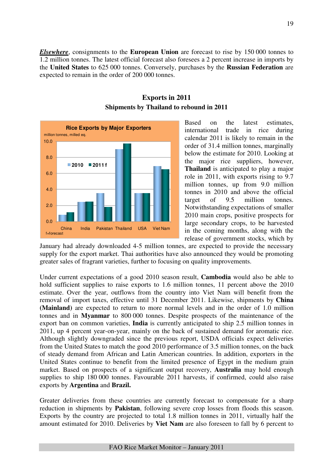*Elsewhere*, consignments to the **European Union** are forecast to rise by 150 000 tonnes to 1.2 million tonnes. The latest official forecast also foresees a 2 percent increase in imports by the **United States** to 625 000 tonnes. Conversely, purchases by the **Russian Federation** are expected to remain in the order of 200 000 tonnes.



# **Exports in 2011 Shipments by Thailand to rebound in 2011**

Based on the latest estimates, international trade in rice during calendar 2011 is likely to remain in the order of 31.4 million tonnes, marginally below the estimate for 2010. Looking at the major rice suppliers, however, **Thailand** is anticipated to play a major role in 2011, with exports rising to 9.7 million tonnes, up from 9.0 million tonnes in 2010 and above the official target of 9.5 million tonnes. Notwithstanding expectations of smaller 2010 main crops, positive prospects for large secondary crops, to be harvested in the coming months, along with the release of government stocks, which by

January had already downloaded 4-5 million tonnes, are expected to provide the necessary supply for the export market. Thai authorities have also announced they would be promoting greater sales of fragrant varieties, further to focusing on quality improvements.

Under current expectations of a good 2010 season result, **Cambodia** would also be able to hold sufficient supplies to raise exports to 1.6 million tonnes, 11 percent above the 2010 estimate. Over the year, outflows from the country into Viet Nam will benefit from the removal of import taxes, effective until 31 December 2011. Likewise, shipments by **China (Mainland)** are expected to return to more normal levels and in the order of 1.0 million tonnes and in **Myanmar** to 800 000 tonnes. Despite prospects of the maintenance of the export ban on common varieties, **India** is currently anticipated to ship 2.5 million tonnes in 2011, up 4 percent year-on-year, mainly on the back of sustained demand for aromatic rice. Although slightly downgraded since the previous report, USDA officials expect deliveries from the United States to match the good 2010 performance of 3.5 million tonnes, on the back of steady demand from African and Latin American countries. In addition, exporters in the United States continue to benefit from the limited presence of Egypt in the medium grain market. Based on prospects of a significant output recovery, **Australia** may hold enough supplies to ship 180 000 tonnes. Favourable 2011 harvests, if confirmed, could also raise exports by **Argentina** and **Brazil.** 

Greater deliveries from these countries are currently forecast to compensate for a sharp reduction in shipments by **Pakistan**, following severe crop losses from floods this season. Exports by the country are projected to total 1.8 million tonnes in 2011, virtually half the amount estimated for 2010. Deliveries by **Viet Nam** are also foreseen to fall by 6 percent to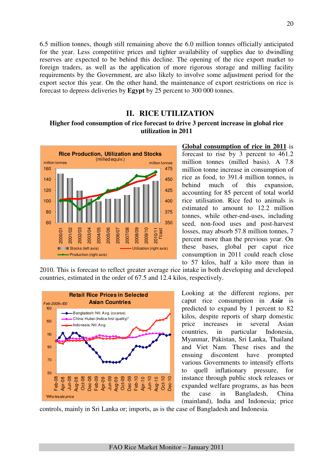6.5 million tonnes, though still remaining above the 6.0 million tonnes officially anticipated for the year. Less competitive prices and tighter availability of supplies due to dwindling reserves are expected to be behind this decline. The opening of the rice export market to foreign traders, as well as the application of more rigorous storage and milling facility requirements by the Government, are also likely to involve some adjustment period for the export sector this year. On the other hand, the maintenance of export restrictions on rice is forecast to depress deliveries by **Egypt** by 25 percent to 300 000 tonnes.

# **II. RICE UTILIZATION**

# **Higher food consumption of rice forecast to drive 3 percent increase in global rice utilization in 2011**



**Global consumption of rice in 2011** is forecast to rise by 3 percent to 461.2 million tonnes (milled basis). A 7.8 million tonne increase in consumption of rice as food, to 391.4 million tonnes, is behind much of this expansion, accounting for 85 percent of total world rice utilisation. Rice fed to animals is estimated to amount to 12.2 million tonnes, while other-end-uses, including seed, non-food uses and post-harvest losses, may absorb 57.8 million tonnes, 7 percent more than the previous year. On these bases, global per caput rice consumption in 2011 could reach close to 57 kilos, half a kilo more than in

2010. This is forecast to reflect greater average rice intake in both developing and developed countries, estimated in the order of 67.5 and 12.4 kilos, respectively.



Looking at the different regions, per caput rice consumption in *Asia* is predicted to expand by 1 percent to 82 kilos, despite reports of sharp domestic price increases in several Asian countries, in particular Indonesia, Myanmar, Pakistan, Sri Lanka, Thailand and Viet Nam. These rises and the ensuing discontent have prompted various Governments to intensify efforts to quell inflationary pressure, for instance through public stock releases or expanded welfare programs, as has been the case in Bangladesh, China (mainland), India and Indonesia; price

controls, mainly in Sri Lanka or; imports, as is the case of Bangladesh and Indonesia.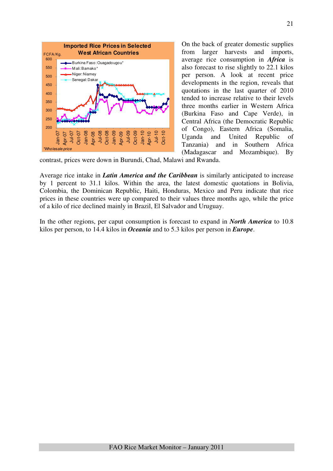

On the back of greater domestic supplies from larger harvests and imports, average rice consumption in *Africa* is also forecast to rise slightly to 22.1 kilos per person. A look at recent price developments in the region, reveals that quotations in the last quarter of 2010 tended to increase relative to their levels three months earlier in Western Africa (Burkina Faso and Cape Verde), in Central Africa (the Democratic Republic of Congo), Eastern Africa (Somalia, Uganda and United Republic of Tanzania) and in Southern Africa (Madagascar and Mozambique). By

contrast, prices were down in Burundi, Chad, Malawi and Rwanda.

Average rice intake in *Latin America and the Caribbean* is similarly anticipated to increase by 1 percent to 31.1 kilos. Within the area, the latest domestic quotations in Bolivia, Colombia, the Dominican Republic, Haiti, Honduras, Mexico and Peru indicate that rice prices in these countries were up compared to their values three months ago, while the price of a kilo of rice declined mainly in Brazil, El Salvador and Uruguay.

In the other regions, per caput consumption is forecast to expand in *North America* to 10.8 kilos per person, to 14.4 kilos in *Oceania* and to 5.3 kilos per person in *Europe*.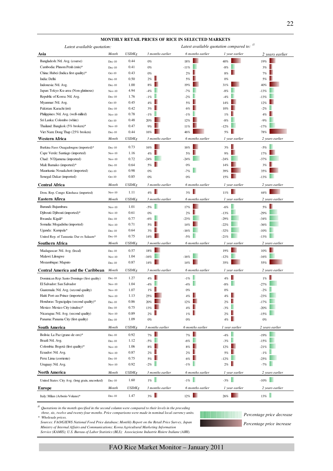|                                                 |          |               |                  | MONTHLY RETAIL PRICES OF RICE IN SELECTED MARKETS |                                         |                 |
|-------------------------------------------------|----------|---------------|------------------|---------------------------------------------------|-----------------------------------------|-----------------|
| Latest available quotation:                     |          |               |                  |                                                   | Latest available quotation compared to: |                 |
| Asia                                            | Month    | USD/Kg        | 3 months earlier | 6 months earlier                                  | 1 year earlier                          | 2 years earlier |
| Bangladesh: Ntl. Avg. (coarse)                  | $Dec-10$ | 0.44          | $0\%$            | 18%                                               | 40%                                     | 19%             |
| Cambodia: Phnom Penh (mix)*                     | $Dec-10$ | 0.41          | $0\%$            | $-11%$                                            | $-8%$                                   | 3%              |
| China: Hubei (Indica first quality)*            | $Oct-10$ | 0.43          | $0\%$            | 2%                                                | $8\%$                                   | 7%              |
| India: Delhi                                    | $Dec-10$ | 0.50          | $2\%$            | 5%                                                | $0\%$                                   | 5%              |
| Indonesia: Ntl. Avg.                            | $Dec-10$ | 1.00          | $8\%$            | 19%                                               | 31%                                     | 40%             |
| Japan: Tokyo Ku-area (Non-glutinous)            | $Nov-10$ | 4.94          | $-4%$            | $-7%$                                             | $-8%$                                   | $-13%$          |
| Republic of Korea: Ntl. Avg.                    | $Dec-10$ | 1.76          | $-1%$            | $-2%$                                             | $-4%$                                   | $-13%$          |
| Myanmar: Ntl. Avg.                              | $Oct-10$ | 0.45          | 4%               | 5%                                                | 14%                                     | 12%             |
| Pakistan: Karachi (irri)                        | $Dec-10$ | 0.42          | 3%               | 6%                                                | 10%                                     | $-2%$           |
| Philippines: Ntl. Avg. (well-milled)            | $Nov-10$ | 0.78          | $-1%$            | $-1%$                                             | 1%                                      | 4%              |
| Sri Lanka: Colombo (white)                      | $Oct-10$ | 0.48          | 20%              | 12%                                               | $-8%$                                   | $-9%$           |
| Thailand: Bangkok (5% broken)*                  | $Nov-10$ | 0.47          | 9%               | 11%                                               | $-12%$                                  | $-17%$          |
| Viet Nam: Dong Thap (25% broken)                | $Dec-10$ | 0.44          | 16%              | 46%                                               | 5%                                      | 78%             |
| Western Africa                                  | Month    | USD/Kg        | 3 months earlier | 6 months earlier                                  | 1 year earlier                          | 2 years earlier |
| Burkina Faso: Ouagadougou (imported)*           | $Dec-10$ | 0.73          | 16%              | 16%                                               | 3%                                      | $-5%$           |
| Cape Verde: Santiago (imported)                 | $Nov-10$ | 1.16          | 4%               | 5%                                                | 9%                                      | 17%             |
| Chad: N'Djamena (imported)                      | $Nov-10$ | 0.72          | $-24%$           | $-24%$                                            | $-24%$                                  | $-37%$          |
| Mali: Bamako (imported)*                        | $Dec-10$ | 0.64          | 5%               | 0%                                                | 14%                                     | 3%              |
| Mauritania: Nouakchott (imported)               | $Oct-10$ | 0.98          | 0%               | $-7%$                                             | 39%                                     | 35%             |
| Senegal: Dakar (imported)                       | $Oct-10$ | 0.85          | 0%               | 0%                                                | 15%                                     | $-13%$          |
| <b>Central Africa</b>                           | Month    | USD/Kg        | 3 months earlier | 6 months earlier                                  | 1 year earlier                          | 2 years earlier |
| Dem. Rep. Congo: Kinshasa (imported)            | $Nov-10$ | 1.11          | 4%               | 3%                                                | $11\%$                                  | 44%             |
| Eastern Afirca                                  | Month    | USD/Kg        | 3 months earlier | 6 months earlier                                  | 1 year earlier                          | 2 years earlier |
| Burundi: Bujumbura                              | $Nov-10$ | 1.01          | $-5%$            | 17%                                               | $-6%$                                   | 5%              |
| Djibouti: Djibouti (imported)*                  | $Nov-10$ | 0.61          | $0\%$            | 2%                                                | $-13%$                                  | $-29%$          |
| Rwanda: Kigali*                                 | $Dec-10$ | 0.77          | $-6%$            | $-23%$                                            | $-29%$                                  | $-34%$          |
| Somalia: Mogadishu (imported)                   | $Nov-10$ | 0.71          | 5%               | 14%                                               | $-22%$                                  | $-36%$          |
| Uganda: Kampala*                                | $Dec-10$ | 0.64          | 3%               | $-16%$                                            | $-32%$                                  | $-10%$          |
| United Rep. of Tanzania: Dar es Salaam*         | $Dec-10$ | 0.75          | 14%              | $-5%$                                             | $-21%$                                  | $-13%$          |
| Southern Africa                                 | Month    | USD/Kg        | 3 months earlier | 6 months earlier                                  | 1 year earlier                          | 2 years earlier |
| Madagascar: Ntl. Avg. (local)                   | $Dec-10$ | 0.57          | 18%              |                                                   | 19%                                     | 10%             |
| Malawi: Lilongwe                                | $Nov-10$ | 1.04          | $-16%$           | $-16%$                                            | $-12%$                                  | $-16%$          |
| Mozambique: Maputo                              | $Dec-10$ | 0.87          | 14%              | 14%                                               | 35%                                     | 55%             |
| <b>Central America and the Caribbean</b>        | Month    | USD/Kg        | 3 months earlier | 6 months earlier                                  | 1 year earlier                          | 2 years earlier |
| Dominican Rep: Santo Domingo (first quality)    | $Dec-10$ | 1.27          | 4%               | $-1%$                                             | $4\%$                                   | $1\%$           |
| El Salvador: San Salvador                       | $Nov-10$ | 1.04          | $-4%$            | $-4%$                                             | $-8\%$                                  | $-27%$          |
| Guatemala: Ntl. Avg. (second quality)           | $Nov-10$ | 1.07          | $1\%$            | $0\%$                                             | $0\%$                                   | $-2%$           |
| Haiti: Port-au-Prince (imported)                | $Nov-10$ | 1.13          | 25%              | 4%                                                | 4%                                      | $-23%$          |
| Honduras: Tegucigalpa (second quality)*         | $Dec-10$ | 0.86          | 20%              | 12%                                               | 2%                                      | $-17%$          |
| Mexico: Mexico City (sinaloa)*                  | $Dec-10$ | 0.75          | 13%              | 4%                                                | $-3%$                                   | $-20%$          |
| Nicaragua: Ntl. Avg. (second quality)           | $Nov-10$ | 0.89          | $2\%$            | 1%                                                | 2%                                      | $-15%$          |
| Panama: Panama City (first quality)             | $Dec-10$ | 1.09          | $0\%$            | $0\%$                                             | $4\%$                                   | $0\%$           |
| South America                                   | Month    | USD/Kg        | 3 months earlier | 6 months earlier                                  | 1 year earlier                          | 2 years earlier |
| Bolivia: La Paz (grano de oro)*                 | $Dec-10$ | 0.92          | $7\%$            | $7\%$                                             | $-4%$                                   | $-19%$          |
| Brazil: Ntl. Avg.                               | $Dec-10$ | 1.12          | $-5\%$           | $-6%$                                             | $-3%$                                   | $-15%$          |
| Colombia: Bogotá (first quality)*               | $Nov-10$ | 1.06          | $8\%$            | $8\%$                                             | 12%                                     | $-21%$          |
| Ecuador: Ntl. Avg.                              | $Nov-10$ | 0.87          | 2%               | 2%                                                | 5%                                      | $-1\%$          |
| Peru: Lima (corriente)                          | $Dec-10$ | 0.75          | 5%               | $6\%$                                             | $-12%$                                  | $-25%$          |
| Uruguay: Ntl. Avg.                              | $Nov-10$ | 0.92          | $-2%$            | $-1%$                                             | 2%                                      | $-7%$           |
| <b>North America</b>                            | Month    | <i>USD/Kg</i> | 3 months earlier | 6 months earlier                                  | 1 year earlier                          | 2 years earlier |
| United States: City Avg. (long grain, uncooked) | $Dec-10$ | 1.60          | $1\%$            | -1% $\hfill\blacksquare$                          | $-3\%$                                  | $-10\%$         |
| <b>Europe</b>                                   | Month    | USD/Kg        | 3 months earlier | 6 months earlier                                  | 1 year earlier                          | 2 years earlier |
| Italy: Milan (Arborio Volano)*                  | $Dec-10$ | 1.47          | $3\%$            | 12%                                               | $26\%$                                  | 13%             |

#### */1 Quotations in the month specified in the second column were compared to their levels in the preceding*

 *three, six, twelve and twenty-four months. Price comparisons were made in nominal local currency units. \* Wholesale prices.*

*Percentage price increase Percentage price decrease*

 *Sources: FAO/GIEWS National Food Price database; Monthly Report on the Retail Price Survey, Japan Ministry of Internal Affairs and Communications; Korea Agricultural Marketing Information Service (KAMIS); U.S. Bureau of Labor Statistics (BLS); Associazione Industrie Risiere Italiane (AIRI).*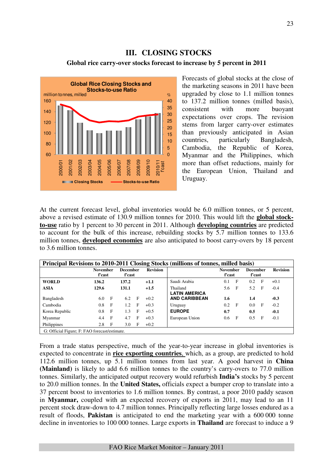# **III. CLOSING STOCKS**

#### **Global rice carry-over stocks forecast to increase by 5 percent in 2011**



Forecasts of global stocks at the close of the marketing seasons in 2011 have been upgraded by close to 1.1 million tonnes to 137.2 million tonnes (milled basis), consistent with more buoyant expectations over crops. The revision stems from larger carry-over estimates than previously anticipated in Asian countries, particularly Bangladesh, Cambodia, the Republic of Korea, Myanmar and the Philippines, which more than offset reductions, mainly for the European Union, Thailand and Uruguay.

At the current forecast level, global inventories would be 6.0 million tonnes, or 5 percent, above a revised estimate of 130.9 million tonnes for 2010. This would lift the **global stockto-use** ratio by 1 percent to 30 percent in 2011. Although **developing countries** are predicted to account for the bulk of this increase, rebuilding stocks by 5.7 million tonnes to 133.6 million tonnes, **developed economies** are also anticipated to boost carry-overs by 18 percent to 3.6 million tonnes.

| Principal Revisions to 2010-2011 Closing Stocks (millions of tonnes, milled basis) |                           |                |                           |   |                 |                                  |                           |              |                           |   |                 |  |  |
|------------------------------------------------------------------------------------|---------------------------|----------------|---------------------------|---|-----------------|----------------------------------|---------------------------|--------------|---------------------------|---|-----------------|--|--|
|                                                                                    | <b>November</b><br>f'cast |                | <b>December</b><br>f'cast |   | <b>Revision</b> |                                  | <b>November</b><br>f'cast |              | <b>December</b><br>f'cast |   | <b>Revision</b> |  |  |
| <b>WORLD</b>                                                                       | 136.2                     |                | 137.2                     |   | $+1.1$          | Saudi Arabia                     | 0.1                       | F            | 0.2                       | F | $+0.1$          |  |  |
| <b>ASIA</b>                                                                        | 129.6                     |                | 131.1                     |   | $+1.5$          | Thailand<br><b>LATIN AMERICA</b> | 5.6                       | $\mathbf{F}$ | 5.2                       | F | $-0.4$          |  |  |
| Bangladesh                                                                         | 6.0                       | F              | 6.2                       | F | $+0.2$          | <b>AND CARIBBEAN</b>             | 1.6                       |              | 1.4                       |   | $-0.3$          |  |  |
| Cambodia                                                                           | 0.8                       | $\overline{F}$ | 1.2                       | F | $+0.3$          | Uruguay                          | 0.2                       | $\mathbf{F}$ | 0.0                       | F | $-0.2$          |  |  |
| Korea Republic                                                                     | 0.8                       | $\mathbf{F}$   | 1.3                       | F | $+0.5$          | <b>EUROPE</b>                    | 0.7                       |              | 0.5                       |   | $-0.1$          |  |  |
| Myanmar                                                                            | 4.4                       | F              | 4.7                       | F | $+0.3$          | European Union                   | 0.6                       | F            | 0.5                       | F | $-0.1$          |  |  |
| Philippines                                                                        | 2.8                       | $\mathbf{F}$   | 3.0                       | F | $+0.2$          |                                  |                           |              |                           |   |                 |  |  |
| G: Official Figure; F: FAO forecast/estimate.                                      |                           |                |                           |   |                 |                                  |                           |              |                           |   |                 |  |  |

From a trade status perspective, much of the year-to-year increase in global inventories is expected to concentrate in **rice exporting countries**, which, as a group, are predicted to hold 112.6 million tonnes, up 5.1 million tonnes from last year. A good harvest in **China (Mainland)** is likely to add 6.6 million tonnes to the country's carry-overs to 77.0 million tonnes. Similarly, the anticipated output recovery would refurbish **India's** stocks by 5 percent to 20.0 million tonnes. In the **United States,** officials expect a bumper crop to translate into a 37 percent boost to inventories to 1.6 million tonnes. By contrast, a poor 2010 paddy season in **Myanmar,** coupled with an expected recovery of exports in 2011, may lead to an 11 percent stock draw-down to 4.7 million tonnes. Principally reflecting large losses endured as a result of floods, **Pakistan** is anticipated to end the marketing year with a 600 000 tonne decline in inventories to 100 000 tonnes. Large exports in **Thailand** are forecast to induce a 9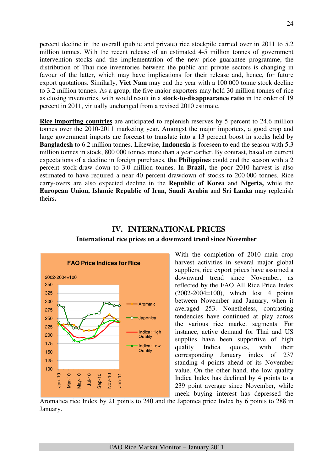percent decline in the overall (public and private) rice stockpile carried over in 2011 to 5.2 million tonnes. With the recent release of an estimated 4-5 million tonnes of government intervention stocks and the implementation of the new price guarantee programme, the distribution of Thai rice inventories between the public and private sectors is changing in favour of the latter, which may have implications for their release and, hence, for future export quotations. Similarly, **Viet Nam** may end the year with a 100 000 tonne stock decline to 3.2 million tonnes. As a group, the five major exporters may hold 30 million tonnes of rice as closing inventories, with would result in a **stock-to-disappearance ratio** in the order of 19 percent in 2011, virtually unchanged from a revised 2010 estimate.

**Rice importing countries** are anticipated to replenish reserves by 5 percent to 24.6 million tonnes over the 2010-2011 marketing year. Amongst the major importers, a good crop and large government imports are forecast to translate into a 13 percent boost in stocks held by **Bangladesh** to 6.2 million tonnes. Likewise, **Indonesia** is foreseen to end the season with 5.3 million tonnes in stock, 800 000 tonnes more than a year earlier. By contrast, based on current expectations of a decline in foreign purchases, **the Philippines** could end the season with a 2 percent stock-draw down to 3.0 million tonnes. In **Brazil,** the poor 2010 harvest is also estimated to have required a near 40 percent drawdown of stocks to 200 000 tonnes. Rice carry-overs are also expected decline in the **Republic of Korea** and **Nigeria,** while the **European Union, Islamic Republic of Iran, Saudi Arabia** and **Sri Lanka** may replenish theirs**.** 



# **IV. INTERNATIONAL PRICES International rice prices on a downward trend since November**

With the completion of 2010 main crop harvest activities in several major global suppliers, rice export prices have assumed a downward trend since November, as reflected by the FAO All Rice Price Index (2002-2004=100), which lost 4 points between November and January, when it averaged 253. Nonetheless, contrasting tendencies have continued at play across the various rice market segments. For instance, active demand for Thai and US supplies have been supportive of high quality Indica quotes, with their corresponding January index of 237 standing 4 points ahead of its November value. On the other hand, the low quality Indica Index has declined by 4 points to a 239 point average since November, while meek buying interest has depressed the

Aromatica rice Index by 21 points to 240 and the Japonica price Index by 6 points to 288 in January.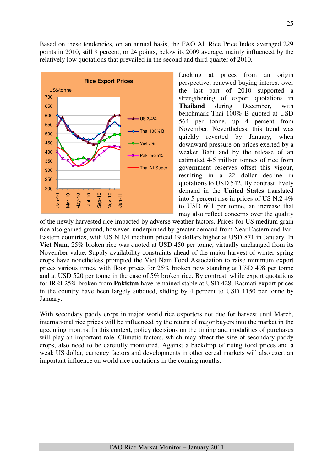Based on these tendencies, on an annual basis, the FAO All Rice Price Index averaged 229 points in 2010, still 9 percent, or 24 points, below its 2009 average, mainly influenced by the relatively low quotations that prevailed in the second and third quarter of 2010.



Looking at prices from an origin perspective, renewed buying interest over the last part of 2010 supported a strengthening of export quotations in **Thailand** during December, with benchmark Thai 100% B quoted at USD 564 per tonne, up 4 percent from November. Nevertheless, this trend was quickly reverted by January, when downward pressure on prices exerted by a weaker Baht and by the release of an estimated 4-5 million tonnes of rice from government reserves offset this vigour, resulting in a 22 dollar decline in quotations to USD 542. By contrast, lively demand in the **United States** translated into 5 percent rise in prices of US N.2 4% to USD 601 per tonne, an increase that may also reflect concerns over the quality

of the newly harvested rice impacted by adverse weather factors. Prices for US medium grain rice also gained ground, however, underpinned by greater demand from Near Eastern and Far-Eastern countries, with US N.1/4 medium priced 19 dollars higher at USD 871 in January. In **Viet Nam,** 25% broken rice was quoted at USD 450 per tonne, virtually unchanged from its November value. Supply availability constraints ahead of the major harvest of winter-spring crops have nonetheless prompted the Viet Nam Food Association to raise minimum export prices various times, with floor prices for 25% broken now standing at USD 498 per tonne and at USD 520 per tonne in the case of 5% broken rice. By contrast, while export quotations for IRRI 25% broken from **Pakistan** have remained stable at USD 428, Basmati export prices in the country have been largely subdued, sliding by 4 percent to USD 1150 per tonne by January.

With secondary paddy crops in major world rice exporters not due for harvest until March, international rice prices will be influenced by the return of major buyers into the market in the upcoming months. In this context, policy decisions on the timing and modalities of purchases will play an important role. Climatic factors, which may affect the size of secondary paddy crops, also need to be carefully monitored. Against a backdrop of rising food prices and a weak US dollar, currency factors and developments in other cereal markets will also exert an important influence on world rice quotations in the coming months.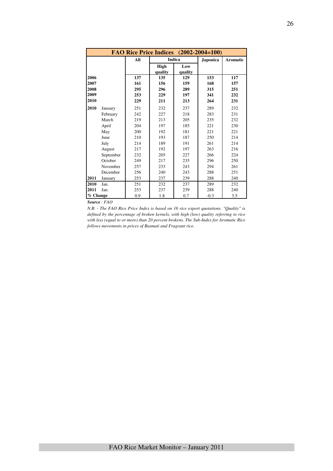|          |           | FAO Rice Price Indices (2002-2004=100) |                 |                |                 |                 |
|----------|-----------|----------------------------------------|-----------------|----------------|-----------------|-----------------|
|          |           | All                                    |                 | <b>Indica</b>  | <b>Japonica</b> | <b>Aromatic</b> |
|          |           |                                        | High<br>quality | Low<br>quality |                 |                 |
| 2006     |           | 137                                    | 135             | 129            | 153             | 117             |
| 2007     |           | 161                                    | 156             | 159            | 168             | 157             |
| 2008     |           | 295                                    | 296             | 289            | 315             | 251             |
| 2009     |           | 253                                    | 229             | 197            | 341             | 232             |
| 2010     |           | 229                                    | 211             | 213            | 264             | 231             |
| 2010     | January   | 251                                    | 232             | 237            | 289             | 232             |
|          | February  | 242                                    | 227             | 218            | 283             | 231             |
|          | March     | 219                                    | 213             | 205            | 235             | 232             |
|          | April     | 204                                    | 197             | 185            | 221             | 230             |
|          | May       | 200                                    | 192             | 181            | 221             | 221             |
|          | June      | 210                                    | 193             | 187            | 250             | 214             |
|          | July      | 214                                    | 189             | 191            | 261             | 214             |
|          | August    | 217                                    | 192             | 197            | 263             | 216             |
|          | September | 232                                    | 205             | 227            | 266             | 224             |
|          | October   | 249                                    | 217             | 235            | 296             | 250             |
|          | November  | 257                                    | 233             | 243            | 294             | 261             |
|          | December  | 256                                    | 240             | 243            | 288             | 251             |
| 2011     | January   | 253                                    | 237             | 239            | 288             | 240             |
| 2010     | Jan.      | 251                                    | 232             | 237            | 289             | 232             |
| 2011     | Jan.      | 253                                    | 237             | 239            | 288             | 240             |
| % Change |           | 0.9                                    | 1.8             | 0.7            | $-0.3$          | 3.5             |

*Source : FAO* 

*N.B. - The FAO Rice Price Index is based on 16 rice export quotations. "Quality" is defined by the percentage of broken kernels, with high (low) quality referring to rice with less (equal to or more) than 20 percent brokens. The Sub-Index for Aromatic Rice follows movements in prices of Basmati and Fragrant rice.*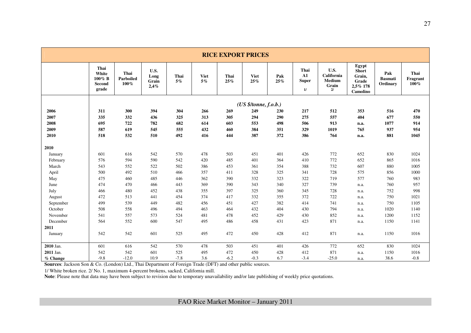|           |                                               |                           |                               |               |                      | <b>RICE EXPORT PRICES</b> |                       |            |                                             |                                                    |                                                                  |                                   |                          |
|-----------|-----------------------------------------------|---------------------------|-------------------------------|---------------|----------------------|---------------------------|-----------------------|------------|---------------------------------------------|----------------------------------------------------|------------------------------------------------------------------|-----------------------------------|--------------------------|
|           | Thai<br>White<br>$100\%$ B<br>Second<br>grade | Thai<br>Parboiled<br>100% | U.S.<br>Long<br>Grain<br>2,4% | Thai<br>$5\%$ | <b>Viet</b><br>$5\%$ | Thai<br>25%               | <b>Viet</b><br>25%    | Pak<br>25% | Thai<br>$\mathbf{A1}$<br><b>Super</b><br>1/ | U.S.<br>California<br><b>Medium</b><br>Grain<br>2/ | Egypt<br><b>Short</b><br>Grain,<br>Grade<br>2,5% 178<br>Camolino | Pak<br><b>Basmati</b><br>Ordinary | Thai<br>Fragrant<br>100% |
|           |                                               |                           |                               |               |                      |                           | (US \$/tonne, f.o.b.) |            |                                             |                                                    |                                                                  |                                   |                          |
| 2006      | 311                                           | 300                       | 394                           | 304           | 266                  | 269                       | 249                   | 230        | 217                                         | 512                                                | 353                                                              | 516                               | 470                      |
| 2007      | 335                                           | 332                       | 436                           | 325           | 313                  | 305                       | 294                   | 290        | 275                                         | 557                                                | 404                                                              | 677                               | 550                      |
| 2008      | 695                                           | 722                       | 782                           | 682           | 614                  | 603                       | 553                   | 498        | 506                                         | 913                                                | n.a.                                                             | 1077                              | 914                      |
| 2009      | 587                                           | 619                       | 545                           | 555           | 432                  | 460                       | 384                   | 351        | 329                                         | 1019                                               | 765                                                              | 937                               | 954                      |
| 2010      | 518                                           | 532                       | 510                           | 492           | 416                  | 444                       | 387                   | 372        | 386                                         | 764                                                | n.a.                                                             | 881                               | 1045                     |
| 2010      |                                               |                           |                               |               |                      |                           |                       |            |                                             |                                                    |                                                                  |                                   |                          |
| January   | 601                                           | 616                       | 542                           | 570           | 478                  | 503                       | 451                   | 401        | 426                                         | 772                                                | 652                                                              | 830                               | 1024                     |
| February  | 576                                           | 594                       | 590                           | 542           | 420                  | 485                       | 401                   | 364        | 410                                         | 772                                                | 652                                                              | 865                               | 1016                     |
| March     | 543                                           | 552                       | 522                           | 502           | 386                  | 453                       | 361                   | 354        | 388                                         | 732                                                | 607                                                              | 880                               | 1005                     |
| April     | 500                                           | 492                       | 510                           | 466           | 357                  | 411                       | 328                   | 325        | 341                                         | 728                                                | 575                                                              | 856                               | 1000                     |
| May       | 475                                           | 460                       | 485                           | 446           | 362                  | 390                       | 332                   | 323        | 322                                         | 719                                                | 577                                                              | 760                               | 983                      |
| June      | 474                                           | 470                       | 466                           | 443           | 369                  | 390                       | 343                   | 340        | 327                                         | 739                                                | n.a.                                                             | 760                               | 957                      |
| July      | 466                                           | 480                       | 452                           | 438           | 355                  | 397                       | 325                   | 360        | 345                                         | 728                                                | n.a.                                                             | 752                               | 998                      |
| August    | 472                                           | 513                       | 441                           | 454           | 374                  | 417                       | 332                   | 355        | 372                                         | 722                                                | n.a.                                                             | 750                               | 1021                     |
| September | 499                                           | 539                       | 449                           | 482           | 456                  | 451                       | 427                   | 382        | 414                                         | 741                                                | n.a.                                                             | 750                               | 1105                     |
| October   | 508                                           | 558                       | 496                           | 494           | 463                  | 464                       | 432                   | 404        | 430                                         | 794                                                | n.a.                                                             | 1020                              | 1140                     |
| November  | 541                                           | 557                       | 573                           | 524           | 481                  | 478                       | 452                   | 429        | 430                                         | 852                                                | n.a.                                                             | 1200                              | 1152                     |
| December  | 564                                           | 552                       | 600                           | 547           | 495                  | 486                       | 458                   | 431        | 423                                         | 871                                                | n.a.                                                             | 1150                              | 1141                     |
| 2011      |                                               |                           |                               |               |                      |                           |                       |            |                                             |                                                    |                                                                  |                                   |                          |
| January   | 542                                           | 542                       | 601                           | 525           | 495                  | 472                       | 450                   | 428        | 412                                         | 871                                                | n.a.                                                             | 1150                              | 1016                     |
| 2010 Jan. | 601                                           | 616                       | 542                           | 570           | 478                  | 503                       | 451                   | 401        | 426                                         | 772                                                | 652                                                              | 830                               | 1024                     |
| 2011 Jan. | 542                                           | 542                       | 601                           | 525           | 495                  | 472                       | 450                   | 428        | 412                                         | 871                                                | n.a.                                                             | 1150                              | 1016                     |
| % Change  | $-9.8$                                        | $-12.0$                   | 10.9                          | $-7.8$        | 3.6                  | $-6.2$                    | $-0.3$                | 6.7        | $-3.4$                                      | $-25.0$                                            | n.a.                                                             | 38.6                              | $-0.8$                   |

**Sources**: Jackson Son & Co. (London) Ltd., Thai Department of Foreign Trade (DFT) and other public sources.

1/ White broken rice. 2/ No. 1, maximum 4-percent brokens, sacked, California mill.<br>Note: Please note that data may have been subject to revision due to temporary unavailability and/or late publishing of weekly price quota

FAO Rice Market Monitor – January 2011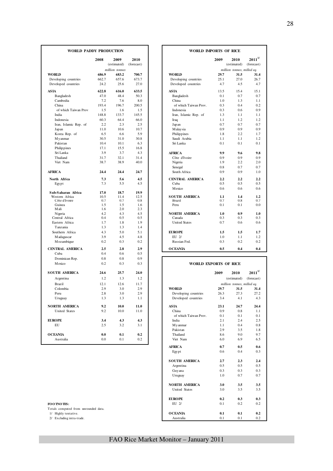| <b>WORLD PADDY PRODUCTION</b>               |               |                     |                    | <b>WORLD IMPORTS OF RICE</b>                |             |                            |                            |
|---------------------------------------------|---------------|---------------------|--------------------|---------------------------------------------|-------------|----------------------------|----------------------------|
|                                             | 2008          | 2009<br>(estimated) | 2010<br>(forecast) |                                             | 2009        | 2010<br>(estimated)        | $2011^{1/2}$<br>(forecast) |
|                                             |               | million tonnes      |                    |                                             |             | million tonnes, milled eq. |                            |
| <b>WORLD</b>                                | 686.9         | 683.2               | 700.7              | <b>WORLD</b>                                | 29.7        | 31.5                       | 31.4                       |
| Developing countries<br>Developed countries | 662.7<br>24.2 | 657.6<br>25.6       | 673.7<br>27.0      | Developing countries<br>Developed countries | 25.1<br>4.7 | 27.0<br>4.5                | 26.7<br>4.7                |
| <b>ASIA</b>                                 | 622.8         | 616.0               | 633.5              | <b>ASIA</b>                                 | 13.5        | 15.4                       | 15.1                       |
| Bangladesh                                  | 47.0          | 48.4                | 50.3               | Bangladesh                                  | 0.1         | 0.7                        | 0.7                        |
| Cambodia                                    | 7.2           | 7.6                 | 8.0                | China                                       | 1.0         | 1.3                        | 1.1                        |
| China                                       | 193.4         | 196.7               | 200.5              | of which Taiwan Prov.                       | 0.3         | 0.4                        | 0.2                        |
| of which Taiwan Prov                        | 1.5           | 1.6                 | 1.5                | Indonesia                                   | 0.3         | 0.6                        | 0.9                        |
| India                                       | 148.8         | 133.7               | 145.5              | Iran, Islamic Rep. of                       | 1.3         | 1.1                        | 1.1                        |
| Indonesia                                   | 60.3          | 64.4                | 66.0               | Iraq                                        | 1.1         | 1.2                        | 1.2                        |
| Iran, Islamic Rep. of                       | 2.2           | 2.3                 | 2.5                | Japan                                       | 0.7         | 0.7                        | 0.7                        |
| Japan                                       | 11.0          | 10.6                | 10.7               | M alay sia                                  | 0.9         | 0.9                        | 0.9                        |
| Korea Rep. of                               | 6.5           | 6.6                 | 5.9                | Philippines                                 | 1.8         | 2.2                        | 1.7                        |
| M y anmar                                   | 30.5          | 31.0                | 30.8               | Saudi Arabia                                | 1.1         | 1.1                        | 1.2                        |
| Pakistan                                    | 10.4          | 10.1                | 6.3                | Sri Lanka                                   | 0.1         | 0.1                        | 0.1                        |
| Philippines                                 | 17.1          | 15.5                | 16.8               |                                             |             |                            |                            |
| Sri Lanka                                   | 3.9           | 3.7                 | 4.3                | <b>AFRICA</b>                               | 9.9         | 9.6                        | 9.8                        |
| Thailand                                    | 31.7          | 32.1                | 31.4               | Côte d'Ivoire                               | 0.9         | 0.9                        | 0.9                        |
| Viet Nam                                    | 38.7          | 38.9                | 40.0               | Nigeria                                     | 1.9         | 2.2                        | 2.0                        |
|                                             |               |                     |                    | Senegal                                     | 0.8         | 0.7                        | 0.7                        |
| <b>AFRICA</b>                               | 24.4          | 24.4                | 24.7               | South Africa                                | 0.9         | 0.9                        | 1.0                        |
| North Africa                                | 7.3           | 5.6                 | 4.5                | <b>CENTRAL AMERICA</b>                      | 2.2         | 2.2                        | 2.2                        |
| Egypt                                       | 7.3           | 5.5                 | 4.5                | Cuba                                        | 0.5         | 0.5                        | 0.5                        |
|                                             |               |                     |                    | Mexico                                      | 0.6         | 0.6                        | 0.6                        |
| Sub-Saharan Africa                          | 17.0          | 18.7                | 19.9               |                                             |             |                            |                            |
| Western Africa<br>Côte d'Ivoire             | 10.5<br>0.7   | 11.4<br>0.7         | 12.5<br>0.8        | <b>SOUTH AMERICA</b><br><b>Brazil</b>       | 1.1<br>0.7  | 1.4<br>0.8                 | 1.2<br>0.7                 |
| Guinea                                      | 1.5           | 1.5                 | 1.6                | Peru                                        | 0.1         | 0.1                        | 0.0                        |
| Mali                                        | 1.6           | 2.0                 | 2.3                |                                             |             |                            |                            |
| Nigeria                                     | 4.2           | 4.3                 | 4.5                | <b>NORTH AMERICA</b>                        | 1.0         | 0.9                        | 1.0                        |
| Central Africa                              | 0.4           | 0.5                 | 0.5                | Canada                                      | 0.3         | 0.3                        | 0.3                        |
| Eastern Africa                              | 1.7           | 1.8                 | 1.9                | <b>United States</b>                        | 0.7         | 0.6                        | 0.6                        |
| Tanzania                                    | 1.3           | 1.3                 | 1.4                |                                             |             |                            |                            |
| Southern Africa                             | 4.3           | 5.0                 | 5.1                | <b>EUROPE</b>                               | 1.5         | 1.5                        | 1.7                        |
| M adagascar                                 | 3.9           | 4.5                 | 4.8                | EU 2/                                       | 1.0         | 1.1                        | 1.2                        |
| Mozambique                                  | 0.2           | 0.3                 | 0.2                | Russian Fed.                                | 0.3         | 0.2                        | 0.2                        |
| <b>CENTRAL AMERICA</b>                      | 2.5           | 2.8                 | 2.9                | <b>OCEANIA</b>                              | 0.5         | 0.4                        | 0.4                        |
| Cuba                                        | 0.4           | 0.6                 | 0.5                |                                             |             |                            |                            |
| Dominican Rep.                              | 0.8           | 0.8                 | 0.9                |                                             |             |                            |                            |
| <b>M</b> exico                              | 0.2           | 0.3                 | 0.3                | <b>WORLD EXPORTS OF RICE</b>                |             |                            |                            |
| <b>SOUTH AMERICA</b>                        | 24.6          | 25.7                | 24.0               |                                             | 2009        | 2010                       | $2011^{1/2}$               |
| Argentina                                   | 1.2           | 1.3                 | 1.2                |                                             |             | (estimated)                | (forecast)                 |
| <b>Brazil</b>                               | 12.1          | 12.6                | 11.7               |                                             |             | million tonnes, milled eq. |                            |
| Colombia                                    | 2.9           | 3.0                 | 2.9                | <b>WORLD</b>                                | 29.7        | 31.5                       | 31.4                       |
| Peru                                        | 2.8           | 3.0                 | 2.9                | Developing countries                        | 26.3        | 27.3                       | 27.2                       |
| Uruguay                                     | 1.3           | 1.3                 | 1.1                | Developed countries                         | 3.4         | 4.1                        | 4.3                        |
|                                             | 9.2           |                     |                    | <b>ASIA</b>                                 |             |                            |                            |
| <b>NORTH AMERICA</b>                        | 9.2           | 10.0                | 11.0               |                                             | 23.1<br>0.9 | 24.7                       | 24.4                       |
| United States                               |               | 10.0                | 11.0               | China<br>of which Taiwan Prov.              |             | 0.8                        | 1.1                        |
|                                             |               |                     |                    |                                             | 0.1         | 0.1                        | 0.1                        |
| <b>EUROPE</b>                               | 3.4           | 4.3                 | 4.3                | India                                       | 2.1         | 2.4                        | 2.5                        |
| EU                                          | 2.5           | 3.2                 | 3.1                | M y anmar                                   | 1.1         | 0.4                        | 0.8                        |
|                                             |               |                     |                    | Pakistan                                    | 2.9         | 3.5                        | 1.8                        |
| <b>OCEANIA</b><br>Australia                 | 0.0           | 0.1                 | 0.2                | Thailand                                    | 8.6         | 9.0                        | 9.7                        |
|                                             | 0.0           | 0.1                 | 0.2                | Viet Nam                                    | 6.0         | 6.9                        | 6.5                        |
|                                             |               |                     |                    |                                             |             |                            |                            |

| <b>FO O TNO TES</b> |
|---------------------|
|---------------------|

| DY PRODUCTION |                     |                    | WORLD IMPORTS OF RICE  |      |                            |                            |  |
|---------------|---------------------|--------------------|------------------------|------|----------------------------|----------------------------|--|
| 2008          | 2009<br>(estimated) | 2010<br>(forecast) |                        | 2009 | 2010<br>(estimated)        | $2011^{1/2}$<br>(forecast) |  |
|               | million tonnes      |                    |                        |      | million tonnes, milled eq. |                            |  |
| 686.9         | 683.2               | 700.7              | <b>WORLD</b>           | 29.7 | 31.5                       | 31.4                       |  |
| 662.7         | 657.6               | 673.7              | Developing countries   | 25.1 | 27.0                       | 26.7                       |  |
| 24.2          | 25.6                | 27.0               | Developed countries    | 4.7  | 4.5                        | 4.7                        |  |
| 622.8         | 616.0               | 633.5              | <b>ASIA</b>            | 13.5 | 15.4                       | 15.1                       |  |
| 47.0          | 48.4                | 50.3               | Bangladesh             | 0.1  | 0.7                        | 0.7                        |  |
| 7.2           | 7.6                 | 8.0                | China                  | 1.0  | 1.3                        | 1.1                        |  |
| 193.4         | 196.7               | 200.5              | of which Taiwan Prov.  | 0.3  | 0.4                        | 0.2                        |  |
| 1.5           | 1.6                 | 1.5                | Indonesia              | 0.3  | 0.6                        | 0.9                        |  |
| 148.8         | 133.7               | 145.5              | Iran, Islamic Rep. of  | 1.3  | 1.1                        | 1.1                        |  |
| 60.3          | 64.4                | 66.0               | Iraq                   | 1.1  | 1.2                        | 1.2                        |  |
| 2.2           | 2.3                 | 2.5                | Japan                  | 0.7  | 0.7                        | 0.7                        |  |
| 11.0          | 10.6                | 10.7               | M alay sia             | 0.9  | 0.9                        | 0.9                        |  |
| 6.5           | 6.6                 | 5.9                | Philippines            | 1.8  | 2.2                        | 1.7                        |  |
| 30.5          | 31.0                | 30.8               | Saudi Arabia           | 1.1  | 1.1                        | 1.2                        |  |
| 10.4          | 10.1                | 6.3                | Sri Lanka              | 0.1  | 0.1                        | 0.1                        |  |
| 17.1          | 15.5                | 16.8               |                        |      |                            |                            |  |
| 3.9           | 3.7                 | 4.3                | <b>AFRICA</b>          | 9.9  | 9.6                        | 9.8                        |  |
| 31.7          | 32.1                | 31.4               | Côte d'Ivoire          | 0.9  | 0.9                        | 0.9                        |  |
| 38.7          | 38.9                | 40.0               | Nigeria                | 1.9  | 2.2                        | 2.0                        |  |
|               |                     |                    | Senegal                | 0.8  | 0.7                        | 0.7                        |  |
| 24.4          | 24.4                | 24.7               | South Africa           | 0.9  | 0.9                        | 1.0                        |  |
| 7.3           | 5.6                 | 4.5                | <b>CENTRAL AMERICA</b> | 2.2  | 2.2                        | 2.2                        |  |
| 7.3           | 5.5                 | 4.5                | Cuba                   | 0.5  | 0.5                        | 0.5                        |  |
|               |                     |                    | Mexico                 | 0.6  | 0.6                        | 0.6                        |  |
| 17.0          | 18.7                | 19.9               |                        |      |                            |                            |  |
| 10.5          | 11.4                | 12.5               | <b>SOUTH AMERICA</b>   | 1.1  | 1.4                        | 1.2                        |  |
| 0.7           | 0.7                 | 0.8                | Brazil                 | 0.7  | 0.8                        | 0.7                        |  |
| 1.5           | 1.5                 | 1.6                | Peru                   | 0.1  | 0.1                        | $0.0\,$                    |  |
| 1.6           | 2.0                 | 2.3                |                        |      |                            |                            |  |
| 4.2           | 4.3                 | 4.5                | <b>NORTH AMERICA</b>   | 1.0  | 0.9                        | 1.0                        |  |
| 0.4           | 0.5                 | 0.5                | Canada                 | 0.3  | 0.3                        | 0.3                        |  |
| 1.7           | 1.8                 | 1.9                | <b>United States</b>   | 0.7  | 0.6                        | 0.6                        |  |
| 1.3           | 1.3                 | 1.4                |                        |      |                            |                            |  |
| 4.3           | 5.0                 | 5.1                | <b>EUROPE</b>          | 1.5  | 1.5                        | 1.7                        |  |
| 3.9           | 4.5                 | 4.8                | EU 2/                  | 1.0  | 1.1                        | 1.2                        |  |
| 0.2           | 0.3                 | 0.2                | Russian Fed.           | 0.3  | 0.2                        | 0.2                        |  |
| 2.5           | 2.8                 | 2.9                | <b>OCEANIA</b>         | 0.5  | 0.4                        | 0.4                        |  |
| 04            | 0.6                 | 0.5                |                        |      |                            |                            |  |

#### **WORLD EXPORTS OF RICE**

| <b>SOUTH AMERICA</b>                 | 24.6 | 25.7 | 24.0 |                       | 2009 | 2010                       |
|--------------------------------------|------|------|------|-----------------------|------|----------------------------|
| Argentina                            | 1.2  | 1.3  | 1.2  |                       |      | (estimated)                |
| Brazil                               | 12.1 | 12.6 | 11.7 |                       |      | million tonnes, milled eq. |
| Colombia                             | 2.9  | 3.0  | 2.9  | <b>WORLD</b>          | 29.7 | 31.5                       |
| Peru                                 | 2.8  | 3.0  | 2.9  | Developing countries  | 26.3 | 27.3                       |
| Uruguay                              | 1.3  | 1.3  | 1.1  | Developed countries   | 3.4  | 4.1                        |
| <b>NORTH AMERICA</b>                 | 9.2  | 10.0 | 11.0 | <b>ASIA</b>           | 23.1 | 24.7                       |
| <b>United States</b>                 | 9.2  | 10.0 | 11.0 | China                 | 0.9  | 0.8                        |
|                                      |      |      |      | of which Taiwan Prov. | 0.1  | 0.1                        |
| <b>EUROPE</b>                        | 3.4  | 4.3  | 4.3  | India                 | 2.1  | 2.4                        |
| EU                                   | 2.5  | 3.2  | 3.1  | M y anmar             | 1.1  | 0.4                        |
|                                      |      |      |      | Pakistan              | 2.9  | 3.5                        |
| <b>OCEANIA</b>                       | 0.0  | 0.1  | 0.2  | Thailand              | 8.6  | 9.0                        |
| Australia                            | 0.0  | 0.1  | 0.2  | Viet Nam              | 6.0  | 6.9                        |
|                                      |      |      |      | <b>AFRICA</b>         | 0.7  | 0.5                        |
|                                      |      |      |      | Egypt                 | 0.6  | 0.4                        |
|                                      |      |      |      | <b>SOUTH AMERICA</b>  | 2.7  | 2.3                        |
|                                      |      |      |      | Argentina             | 0.5  | 0.5                        |
|                                      |      |      |      | Guyana                | 0.3  | 0.3                        |
|                                      |      |      |      | Uruguay               | 1.0  | 0.7                        |
|                                      |      |      |      | <b>NORTH AMERICA</b>  | 3.0  | 3.5                        |
|                                      |      |      |      | United States         | 3.0  | 3.5                        |
|                                      |      |      |      | <b>EUROPE</b>         | 0.2  | 0.3                        |
| FO O TNO TES:                        |      |      |      | EU 2/                 | 0.1  | 0.2                        |
| Totals computed from unrounded data. |      |      |      |                       |      |                            |
| 1/ Highly tentative.                 |      |      |      | <b>OCEANIA</b>        | 0.1  | 0.1                        |
| 2/ Excluding intra-trade.            |      |      |      | Australia             | 0.1  | 0.1                        |

# FAO Rice Market Monitor – January 2011